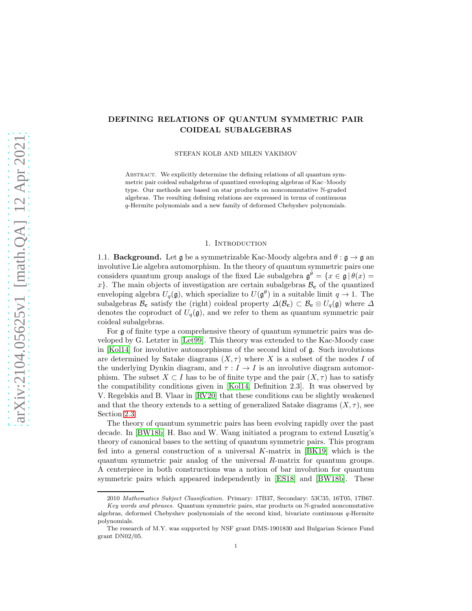# DEFINING RELATIONS OF QUANTUM SYMMETRIC PAIR COIDEAL SUBALGEBRAS

STEFAN KOLB AND MILEN YAKIMOV

ABSTRACT. We explicitly determine the defining relations of all quantum symmetric pair coideal subalgebras of quantized enveloping algebras of Kac–Moody type. Our methods are based on star products on noncommutative N-graded algebras. The resulting defining relations are expressed in terms of continuous q-Hermite polynomials and a new family of deformed Chebyshev polynomials.

#### 1. INTRODUCTION

1.1. **Background.** Let  $\mathfrak{g}$  be a symmetrizable Kac-Moody algebra and  $\theta : \mathfrak{g} \to \mathfrak{g}$  an involutive Lie algebra automorphism. In the theory of quantum symmetric pairs one considers quantum group analogs of the fixed Lie subalgebra  $\mathfrak{g}^{\theta} = \{x \in \mathfrak{g} | \theta(x) =$ x. The main objects of investigation are certain subalgebras  $\mathcal{B}_{c}$  of the quantized enveloping algebra  $U_q(\mathfrak{g})$ , which specialize to  $U(\mathfrak{g}^\theta)$  in a suitable limit  $q \to 1$ . The subalgebras  $\mathcal{B}_c$  satisfy the (right) coideal property  $\Delta(\mathcal{B}_c) \subset \mathcal{B}_c \otimes U_q(\mathfrak{g})$  where  $\Delta$ denotes the coproduct of  $U_q(\mathfrak{g})$ , and we refer to them as quantum symmetric pair coideal subalgebras.

For g of finite type a comprehensive theory of quantum symmetric pairs was developed by G. Letzter in [\[Let99\]](#page-36-0). This theory was extended to the Kac-Moody case in [\[Kol14\]](#page-36-1) for involutive automorphisms of the second kind of g. Such involutions are determined by Satake diagrams  $(X, \tau)$  where X is a subset of the nodes I of the underlying Dynkin diagram, and  $\tau : I \to I$  is an involutive diagram automorphism. The subset  $X \subset I$  has to be of finite type and the pair  $(X, \tau)$  has to satisfy the compatibility conditions given in [\[Kol14,](#page-36-1) Definition 2.3]. It was observed by V. Regelskis and B. Vlaar in [\[RV20\]](#page-36-2) that these conditions can be slightly weakened and that the theory extends to a setting of generalized Satake diagrams  $(X, \tau)$ , see Section [2.3.](#page-10-0)

The theory of quantum symmetric pairs has been evolving rapidly over the past decade. In [\[BW18b\]](#page-35-0) H. Bao and W. Wang initiated a program to extend Lusztig's theory of canonical bases to the setting of quantum symmetric pairs. This program fed into a general construction of a universal  $K$ -matrix in [\[BK19\]](#page-35-1) which is the quantum symmetric pair analog of the universal R-matrix for quantum groups. A centerpiece in both constructions was a notion of bar involution for quantum symmetric pairs which appeared independently in [\[ES18\]](#page-36-3) and [\[BW18b\]](#page-35-0). These

<sup>2010</sup> Mathematics Subject Classification. Primary: 17B37, Secondary: 53C35, 16T05, 17B67. Key words and phrases. Quantum symmetric pairs, star products on N-graded noncomutative

algebras, deformed Chebyshev poslynomials of the second kind, bivariate continuous q-Hermite polynomials.

The research of M.Y. was supported by NSF grant DMS-1901830 and Bulgarian Science Fund grant DN02/05.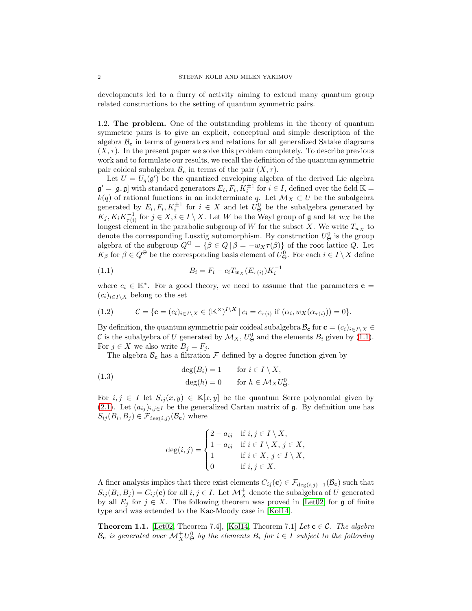developments led to a flurry of activity aiming to extend many quantum group related constructions to the setting of quantum symmetric pairs.

<span id="page-1-3"></span>1.2. The problem. One of the outstanding problems in the theory of quantum symmetric pairs is to give an explicit, conceptual and simple description of the algebra  $\mathcal{B}_{c}$  in terms of generators and relations for all generalized Satake diagrams  $(X, \tau)$ . In the present paper we solve this problem completely. To describe previous work and to formulate our results, we recall the definition of the quantum symmetric pair coideal subalgebra  $\mathcal{B}_{c}$  in terms of the pair  $(X, \tau)$ .

Let  $U = U_q(\mathfrak{g}')$  be the quantized enveloping algebra of the derived Lie algebra  $\mathfrak{g}' = [\mathfrak{g}, \mathfrak{g}]$  with standard generators  $E_i, F_i, K_i^{\pm 1}$  for  $i \in I$ , defined over the field  $\mathbb{K} =$  $k(q)$  of rational functions in an indeterminate q. Let  $\mathcal{M}_X \subset U$  be the subalgebra generated by  $E_i, F_i, K_i^{\pm 1}$  for  $i \in X$  and let  $U^0_{\Theta}$  be the subalgebra generated by  $K_j, K_iK_{\tau(i)}^{-1}$  for  $j \in X, i \in I \setminus X$ . Let W be the Weyl group of **g** and let  $w_X$  be the longest element in the parabolic subgroup of W for the subset X. We write  $T_{w_X}$  to denote the corresponding Lusztig automorphism. By construction  $U^0_\Theta$  is the group algebra of the subgroup  $Q^{\Theta} = {\beta \in Q | \beta = -w_X \tau(\beta)}$  of the root lattice Q. Let  $K_{\beta}$  for  $\beta \in Q^{\Theta}$  be the corresponding basis element of  $U_{\Theta}^0$ . For each  $i \in I \setminus X$  define

<span id="page-1-0"></span>(1.1) 
$$
B_i = F_i - c_i T_{w_X}(E_{\tau(i)}) K_i^{-1}
$$

where  $c_i \in \mathbb{K}^*$ . For a good theory, we need to assume that the parameters  $\mathbf{c} =$  $(c_i)_{i\in I\setminus X}$  belong to the set

<span id="page-1-4"></span>(1.2) 
$$
\mathcal{C} = \{ \mathbf{c} = (c_i)_{i \in I \setminus X} \in (\mathbb{K}^\times)^{I \setminus X} \mid c_i = c_{\tau(i)} \text{ if } (\alpha_i, w_X(\alpha_{\tau(i)})) = 0 \}.
$$

By definition, the quantum symmetric pair coideal subalgebra  $\mathcal{B}_{\mathbf{c}}$  for  $\mathbf{c} = (c_i)_{i \in I\setminus X} \in$ C is the subalgebra of U generated by  $\mathcal{M}_X$ ,  $U^0_{\Theta}$  and the elements  $B_i$  given by [\(1.1\)](#page-1-0). For  $j \in X$  we also write  $B_j = F_j$ .

The algebra  $\mathcal{B}_{c}$  has a filtration  $\mathcal F$  defined by a degree function given by

(1.3) 
$$
\deg(B_i) = 1 \quad \text{for } i \in I \setminus X,
$$

$$
\deg(h) = 0 \quad \text{for } h \in \mathcal{M}_X U^0_{\Theta}.
$$

For  $i, j \in I$  let  $S_{ij}(x, y) \in \mathbb{K}[x, y]$  be the quantum Serre polynomial given by [\(2.1\)](#page-6-0). Let  $(a_{ij})_{i,j\in I}$  be the generalized Cartan matrix of  $\mathfrak g$ . By definition one has  $S_{ij}(B_i, B_j) \in \mathcal{F}_{\text{deg}(i,j)}(\mathcal{B}_{\mathbf{c}})$  where

<span id="page-1-2"></span>
$$
\deg(i,j) = \begin{cases} 2 - a_{ij} & \text{if } i, j \in I \setminus X, \\ 1 - a_{ij} & \text{if } i \in I \setminus X, j \in X, \\ 1 & \text{if } i \in X, j \in I \setminus X, \\ 0 & \text{if } i, j \in X. \end{cases}
$$

A finer analysis implies that there exist elements  $C_{ij}$  (c) ∈  $\mathcal{F}_{\text{deg}(i,j)-1}(\mathcal{B}_{c})$  such that  $S_{ij}(B_i, B_j) = C_{ij}(\mathbf{c})$  for all  $i, j \in I$ . Let  $\mathcal{M}^+_X$  denote the subalgebra of U generated by all  $E_i$  for  $j \in X$ . The following theorem was proved in [\[Let02\]](#page-36-4) for g of finite type and was extended to the Kac-Moody case in [\[Kol14\]](#page-36-1).

<span id="page-1-1"></span>**Theorem 1.1.** [\[Let02,](#page-36-4) Theorem 7.4], [\[Kol14,](#page-36-1) Theorem 7.1] Let  $\mathbf{c} \in \mathcal{C}$ . The algebra  $\mathcal{B}_{\mathbf{c}}$  is generated over  $\mathcal{M}^+_X U^0_{\Theta}$  by the elements  $B_i$  for  $i \in I$  subject to the following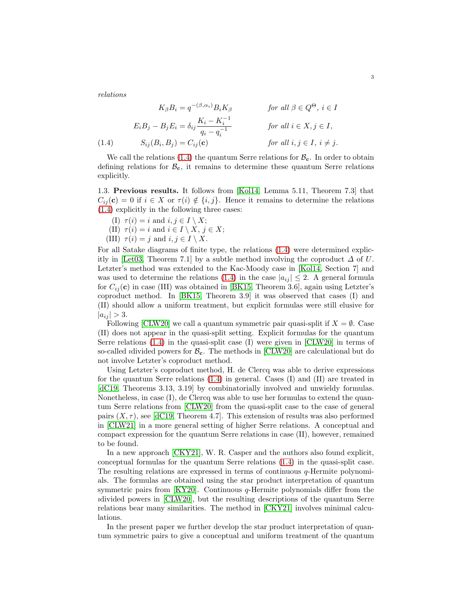relations

$$
K_{\beta}B_i = q^{-(\beta,\alpha_i)}B_iK_{\beta} \qquad \text{for all } \beta \in Q^{\Theta}, i \in I
$$
  
\n
$$
E_iB_j - B_jE_i = \delta_{ij}\frac{K_i - K_i^{-1}}{q_i - q_i^{-1}} \qquad \text{for all } i \in X, j \in I,
$$
  
\n
$$
(1.4) \qquad S_{ij}(B_i, B_j) = C_{ij}(\mathbf{c}) \qquad \text{for all } i, j \in I, i \neq j.
$$

<span id="page-2-0"></span>We call the relations  $(1.4)$  the quantum Serre relations for  $\mathcal{B}_{c}$ . In order to obtain defining relations for  $\mathcal{B}_{c}$ , it remains to determine these quantum Serre relations explicitly.

<span id="page-2-1"></span>1.3. Previous results. It follows from [\[Kol14,](#page-36-1) Lemma 5.11, Theorem 7.3] that  $C_{ii}(\mathbf{c}) = 0$  if  $i \in X$  or  $\tau(i) \notin \{i, j\}$ . Hence it remains to determine the relations [\(1.4\)](#page-2-0) explicitly in the following three cases:

- (I)  $\tau(i) = i$  and  $i, j \in I \setminus X$ ; (II)  $\tau(i) = i$  and  $i \in I \setminus X, j \in X$ ;
- (III)  $\tau(i) = j$  and  $i, j \in I \setminus X$ .

For all Satake diagrams of finite type, the relations [\(1.4\)](#page-2-0) were determined explic-itly in [\[Let03,](#page-36-5) Theorem 7.1] by a subtle method involving the coproduct  $\Delta$  of U. Letzter's method was extended to the Kac-Moody case in [\[Kol14,](#page-36-1) Section 7] and was used to determine the relations [\(1.4\)](#page-2-0) in the case  $|a_{ij}| \leq 2$ . A general formula for  $C_{ij}(\mathbf{c})$  in case (III) was obtained in [\[BK15,](#page-35-2) Theorem 3.6], again using Letzter's coproduct method. In [\[BK15,](#page-35-2) Theorem 3.9] it was observed that cases (I) and (II) should allow a uniform treatment, but explicit formulas were still elusive for  $|a_{ij}| > 3.$ 

Following [\[CLW20\]](#page-35-3) we call a quantum symmetric pair quasi-split if  $X = \emptyset$ . Case (II) does not appear in the quasi-split setting. Explicit formulas for the quantum Serre relations [\(1.4\)](#page-2-0) in the quasi-split case (I) were given in [\[CLW20\]](#page-35-3) in terms of so-called *i*divided powers for  $B_c$ . The methods in [\[CLW20\]](#page-35-3) are calculational but do not involve Letzter's coproduct method.

Using Letzter's coproduct method, H. de Clercq was able to derive expressions for the quantum Serre relations [\(1.4\)](#page-2-0) in general. Cases (I) and (II) are treated in [\[dC19,](#page-36-6) Theorems 3.13, 3.19] by combinatorially involved and unwieldy formulas. Nonetheless, in case (I), de Clercq was able to use her formulas to extend the quantum Serre relations from [\[CLW20\]](#page-35-3) from the quasi-split case to the case of general pairs  $(X, \tau)$ , see [\[dC19,](#page-36-6) Theorem 4.7]. This extension of results was also performed in [\[CLW21\]](#page-36-7) in a more general setting of higher Serre relations. A conceptual and compact expression for the quantum Serre relations in case (II), however, remained to be found.

In a new approach [\[CKY21\]](#page-35-4), W. R. Casper and the authors also found explicit, conceptual formulas for the quantum Serre relations [\(1.4\)](#page-2-0) in the quasi-split case. The resulting relations are expressed in terms of continuous q-Hermite polynomials. The formulas are obtained using the star product interpretation of quantum symmetric pairs from [\[KY20\]](#page-36-8). Continuous q-Hermite polynomials differ from the ıdivided powers in [\[CLW20\]](#page-35-3), but the resulting descriptions of the quantum Serre relations bear many similarities. The method in [\[CKY21\]](#page-35-4) involves minimal calculations.

In the present paper we further develop the star product interpretation of quantum symmetric pairs to give a conceptual and uniform treatment of the quantum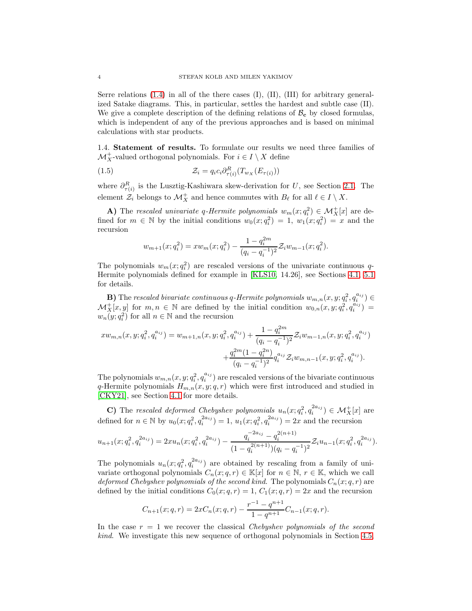Serre relations  $(1.4)$  in all of the there cases  $(I)$ ,  $(II)$ ,  $(III)$  for arbitrary generalized Satake diagrams. This, in particular, settles the hardest and subtle case (II). We give a complete description of the defining relations of  $\mathcal{B}_{c}$  by closed formulas, which is independent of any of the previous approaches and is based on minimal calculations with star products.

<span id="page-3-0"></span>1.4. Statement of results. To formulate our results we need three families of  $\mathcal{M}^+_X$  valued orthogonal polynomials. For  $i\in I\setminus X$  define

<span id="page-3-1"></span>(1.5) 
$$
\mathcal{Z}_i = q_i c_i \partial_{\tau(i)}^R (T_{w_X}(E_{\tau(i)}))
$$

where  $\partial_{\tau(i)}^R$  is the Lusztig-Kashiwara skew-derivation for U, see Section [2.1.](#page-6-1) The element  $\mathcal{Z}_i$  belongs to  $\mathcal{M}_X^+$  and hence commutes with  $B_\ell$  for all  $\ell \in I \setminus X$ .

**A**) The rescaled univariate q-Hermite polynomials  $w_m(x; q_i^2) \in \mathcal{M}_X^+[x]$  are defined for  $m \in \mathbb{N}$  by the initial conditions  $w_0(x; q_i^2) = 1$ ,  $w_1(x; q_i^2) = x$  and the recursion

$$
w_{m+1}(x;q_i^2) = xw_m(x;q_i^2) - \frac{1-q_i^{2m}}{(q_i-q_i^{-1})^2} \mathcal{Z}_i w_{m-1}(x;q_i^2).
$$

The polynomials  $w_m(x; q_i^2)$  are rescaled versions of the univariate continuous q-Hermite polynomials defined for example in [\[KLS10,](#page-36-9) 14.26], see Sections [4.1,](#page-18-0) [5.1](#page-24-0) for details.

**B**) The rescaled bivariate continuous q-Hermite polynomials  $w_{m,n}(x, y; q_i^2, q_i^{a_{ij}}) \in$  $\mathcal{M}_X^+[x,y]$  for  $m,n \in \mathbb{N}$  are defined by the initial condition  $w_{0,n}(x,y;q_i^2,q_i^{a_{ij}})$  =  $w_n(y; q_i^2)$  for all  $n \in \mathbb{N}$  and the recursion

$$
x w_{m,n}(x, y; q_i^2, q_i^{a_{ij}}) = w_{m+1,n}(x, y; q_i^2, q_i^{a_{ij}}) + \frac{1 - q_i^{2m}}{(q_i - q_i^{-1})^2} \mathcal{Z}_i w_{m-1,n}(x, y; q_i^2, q_i^{a_{ij}}) + \frac{q_i^{2m}(1 - q_i^{2n})}{(q_i - q_i^{-1})^2} q_i^{a_{ij}} \mathcal{Z}_i w_{m,n-1}(x, y; q_i^2, q_i^{a_{ij}}).
$$

The polynomials  $w_{m,n}(x, y; q_i^2, q_i^{a_{ij}})$  are rescaled versions of the bivariate continuous q-Hermite polynomials  $H_{m,n}(x, y; q, r)$  which were first introduced and studied in [\[CKY21\]](#page-35-4), see Section [4.1](#page-18-0) for more details.

C) The rescaled deformed Chebyshev polynomials  $u_n(x; q_i^2, q_i^{2a_{ij}}) \in \mathcal{M}_X^+[x]$  are defined for  $n \in \mathbb{N}$  by  $u_0(x; q_i^2, q_i^{2a_{ij}}) = 1$ ,  $u_1(x; q_i^2, q_i^{2a_{ij}}) = 2x$  and the recursion

$$
u_{n+1}(x;q_i^2,q_i^{2a_{ij}}) = 2xu_n(x;q_i^2,q_i^{2a_{ij}}) - \frac{q_i^{-2a_{ij}} - q_i^{2(n+1)}}{(1-q_i^{2(n+1)})(q_i - q_i^{-1})^2} \mathcal{Z}_i u_{n-1}(x;q_i^2,q_i^{2a_{ij}}).
$$

The polynomials  $u_n(x; q_i^2, q_i^{2a_{ij}})$  are obtained by rescaling from a family of univariate orthogonal polynomials  $C_n(x; q, r) \in \mathbb{K}[x]$  for  $n \in \mathbb{N}, r \in \mathbb{K}$ , which we call deformed Chebyshev polynomials of the second kind. The polynomials  $C_n(x; q, r)$  are defined by the initial conditions  $C_0(x; q, r) = 1, C_1(x; q, r) = 2x$  and the recursion

$$
C_{n+1}(x;q,r) = 2xC_n(x;q,r) - \frac{r^{-1} - q^{n+1}}{1 - q^{n+1}}C_{n-1}(x;q,r).
$$

In the case  $r = 1$  we recover the classical Chebyshev polynomials of the second kind. We investigate this new sequence of orthogonal polynomials in Section [4.5,](#page-22-0)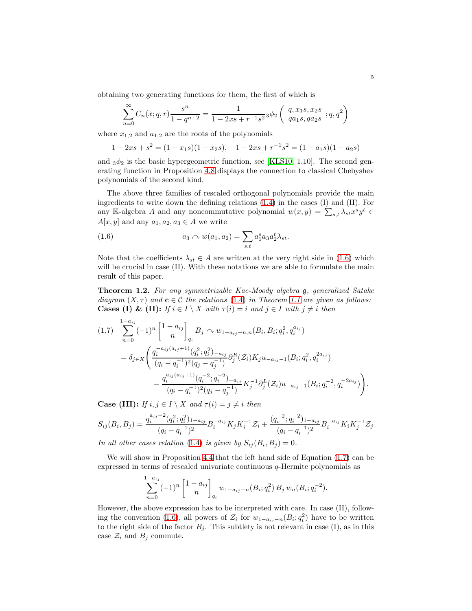obtaining two generating functions for them, the first of which is

$$
\sum_{n=0}^{\infty} C_n(x;q,r) \frac{s^n}{1-q^{n+2}} = \frac{1}{1-2xs + r^{-1}s^2} \phi_2 \left( \begin{array}{c} q, x_1s, x_2s \\ qa_1s, qa_2s \end{array}; q, q^2 \right)
$$

where  $x_{1,2}$  and  $a_{1,2}$  are the roots of the polynomials

$$
1 - 2xs + s2 = (1 - x1s)(1 - x2s), \quad 1 - 2xs + r-1s2 = (1 - a1s)(1 - a2s)
$$

and  $3\phi_2$  is the basic hypergeometric function, see [\[KLS10,](#page-36-9) 1.10]. The second generating function in Proposition [4.8](#page-23-0) displays the connection to classical Chebyshev polynomials of the second kind.

The above three families of rescaled orthogonal polynomials provide the main ingredients to write down the defining relations [\(1.4\)](#page-2-0) in the cases (I) and (II). For any K-algebra A and any noncommutative polynomial  $w(x, y) = \sum_{s,t} \lambda_{st} x^s y^t \in$  $A[x, y]$  and any  $a_1, a_2, a_3 \in A$  we write

<span id="page-4-0"></span>(1.6) 
$$
a_3 \curvearrowright w(a_1, a_2) = \sum_{s,t} a_1^s a_3 a_2^t \lambda_{st}.
$$

Note that the coefficients  $\lambda_{st} \in A$  are written at the very right side in [\(1.6\)](#page-4-0) which will be crucial in case (II). With these notations we are able to formulate the main result of this paper.

<span id="page-4-2"></span>Theorem 1.2. For any symmetrizable Kac-Moody algebra g, generalized Satake diagram  $(X, \tau)$  and  $c \in C$  the relations [\(1.4\)](#page-2-0) in Theorem [1.1](#page-1-1) are given as follows: **Cases (I) & (II):** If  $i \in I \setminus X$  with  $\tau(i) = i$  and  $j \in I$  with  $j \neq i$  then

<span id="page-4-1"></span>
$$
(1.7) \sum_{n=0}^{1-a_{ij}} (-1)^n \begin{bmatrix} 1-a_{ij} \ n \end{bmatrix}_{q_i} B_j \sim w_{1-a_{ij}-n,n}(B_i, B_i; q_i^2, q_i^{a_{ij}})
$$
  
=  $\delta_{j \in X} \left( \frac{q_i^{-a_{ij}(a_{ij}+1)}(q_i^2; q_i^2) - a_{ij}}{(q_i - q_i^{-1})^2 (q_j - q_j^{-1})} \partial_j^R(\mathcal{Z}_i) K_j u_{-a_{ij}-1}(B_i; q_i^2, q_i^{2a_{ij}}) - \frac{q_i^{a_{ij}(a_{ij}+1)}(q_i^{-2}; q_i^{-2}) - a_{ij}}{(q_i - q_i^{-1})^2 (q_j - q_j^{-1})} K_j^{-1} \partial_j^L(\mathcal{Z}_i) u_{-a_{ij}-1}(B_i; q_i^{-2}, q_i^{-2a_{ij}}) \right).$ 

**Case (III):** If  $i, j \in I \setminus X$  and  $\tau(i) = j \neq i$  then

$$
S_{ij}(B_i, B_j) = \frac{q_i^{a_{ij}-2}(q_i^2; q_i^2)_{1-a_{ij}}}{(q_i - q_i^{-1})^2} B_i^{-a_{ij}} K_j K_i^{-1} \mathcal{Z}_i + \frac{(q_i^{-2}; q_i^{-2})_{1-a_{ij}}}{(q_i - q_i^{-1})^2} B_i^{-a_{ij}} K_i K_j^{-1} \mathcal{Z}_j
$$
  
For all other cases relations (1.4), is given by  $S_i (B, B_i)$ , 0.

In all other cases relation [\(1.4\)](#page-2-0) is given by  $S_{ij}(B_i, B_j) = 0$ .

We will show in Proposition [4.4](#page-20-0) that the left hand side of Equation [\(1.7\)](#page-4-1) can be expressed in terms of rescaled univariate continuous q-Hermite polynomials as

$$
\sum_{n=0}^{1-a_{ij}} (-1)^n \begin{bmatrix} 1-a_{ij} \\ n \end{bmatrix}_{q_i} w_{1-a_{ij}-n}(B_i; q_i^2) B_j w_n(B_i; q_i^{-2}).
$$

However, the above expression has to be interpreted with care. In case (II), follow-ing the convention [\(1.6\)](#page-4-0), all powers of  $\mathcal{Z}_i$  for  $w_{1-a_{ij}-n}(B_i; q_i^2)$  have to be written to the right side of the factor  $B_j$ . This subtlety is not relevant in case (I), as in this case  $\mathcal{Z}_i$  and  $B_j$  commute.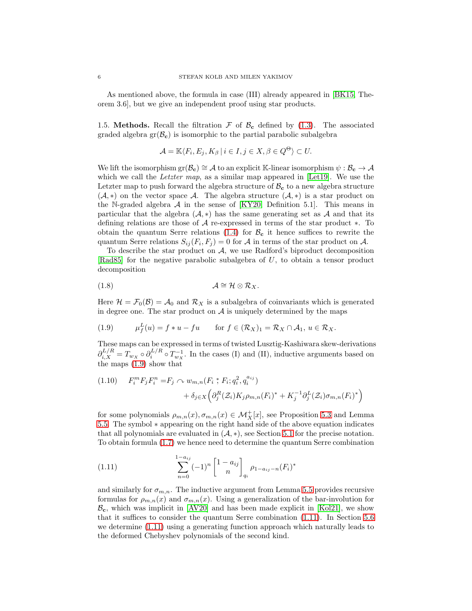As mentioned above, the formula in case (III) already appeared in [\[BK15,](#page-35-2) Theorem 3.6], but we give an independent proof using star products.

1.5. Methods. Recall the filtration  $\mathcal F$  of  $\mathcal B_{\mathbf c}$  defined by [\(1.3\)](#page-1-2). The associated graded algebra  $gr(\mathcal{B}_{c})$  is isomorphic to the partial parabolic subalgebra

$$
\mathcal{A} = \mathbb{K} \langle F_i, E_j, K_\beta \, | \, i \in I, j \in X, \beta \in Q^\Theta \rangle \subset U.
$$

We lift the isomorphism  $\text{gr}(\mathcal{B}_{c}) \cong \mathcal{A}$  to an explicit K-linear isomorphism  $\psi : \mathcal{B}_{c} \to \mathcal{A}$ which we call the *Letzter map*, as a similar map appeared in  $[Let 19]$ . We use the Letzter map to push forward the algebra structure of  $B_c$  to a new algebra structure  $(\mathcal{A}, *)$  on the vector space  $\mathcal{A}$ . The algebra structure  $(\mathcal{A}, *)$  is a star product on the N-graded algebra  $A$  in the sense of  $[KY20,$  Definition 5.1. This means in particular that the algebra  $(A, *)$  has the same generating set as A and that its defining relations are those of A re-expressed in terms of the star product ∗. To obtain the quantum Serre relations [\(1.4\)](#page-2-0) for  $\mathcal{B}_{c}$  it hence suffices to rewrite the quantum Serre relations  $S_{ij}(F_i, F_j) = 0$  for A in terms of the star product on A.

To describe the star product on  $A$ , we use Radford's biproduct decomposition [\[Rad85\]](#page-36-11) for the negative parabolic subalgebra of U, to obtain a tensor product decomposition

<span id="page-5-2"></span>
$$
(1.8) \t\t \t\t \mathcal{A} \cong \mathcal{H} \otimes \mathcal{R}_X.
$$

Here  $\mathcal{H} = \mathcal{F}_0(\mathcal{B}) = \mathcal{A}_0$  and  $\mathcal{R}_X$  is a subalgebra of coinvariants which is generated in degree one. The star product on  $A$  is uniquely determined by the maps

<span id="page-5-0"></span>(1.9) 
$$
\mu_f^L(u) = f * u - fu \quad \text{for } f \in (\mathcal{R}_X)_1 = \mathcal{R}_X \cap \mathcal{A}_1, u \in \mathcal{R}_X.
$$

These maps can be expressed in terms of twisted Lusztig-Kashiwara skew-derivations  $\partial_{i,X}^{L/R} = T_{w_X} \circ \partial_i^{L/R} \circ T_{w_X}^{-1}$ . In the cases (I) and (II), inductive arguments based on the maps [\(1.9\)](#page-5-0) show that

<span id="page-5-3"></span>
$$
(1.10) \tF_i^m F_j F_i^n = F_j \t m_{m,n}(F_i * F_i; q_i^2, q_i^{a_{ij}}) + \delta_{j \in X} \Big( \partial_j^R (\mathcal{Z}_i) K_j \rho_{m,n}(F_i)^* + K_j^{-1} \partial_j^L (\mathcal{Z}_i) \sigma_{m,n}(F_i)^* \Big)
$$

for some polynomials  $\rho_{m,n}(x), \sigma_{m,n}(x) \in \mathcal{M}_X^+[x]$ , see Proposition [5.3](#page-26-0) and Lemma [5.5.](#page-28-0) The symbol ∗ appearing on the right hand side of the above equation indicates that all polynomials are evaluated in  $(A, *),$  see Section [5.1](#page-24-0) for the precise notation. To obtain formula [\(1.7\)](#page-4-1) we hence need to determine the quantum Serre combination

<span id="page-5-1"></span>(1.11) 
$$
\sum_{n=0}^{1-a_{ij}} (-1)^n \begin{bmatrix} 1 - a_{ij} \\ n \end{bmatrix}_{q_i} \rho_{1-a_{ij}-n}(F_i)^*
$$

and similarly for  $\sigma_{m,n}$ . The inductive argument from Lemma [5.5](#page-28-0) provides recursive formulas for  $\rho_{m,n}(x)$  and  $\sigma_{m,n}(x)$ . Using a generalization of the bar-involution for  $B_{c}$ , which was implicit in [\[AV20\]](#page-35-5) and has been made explicit in [\[Kol21\]](#page-36-12), we show that it suffices to consider the quantum Serre combination [\(1.11\)](#page-5-1). In Section [5.6](#page-31-0) we determine [\(1.11\)](#page-5-1) using a generating function approach which naturally leads to the deformed Chebyshev polynomials of the second kind.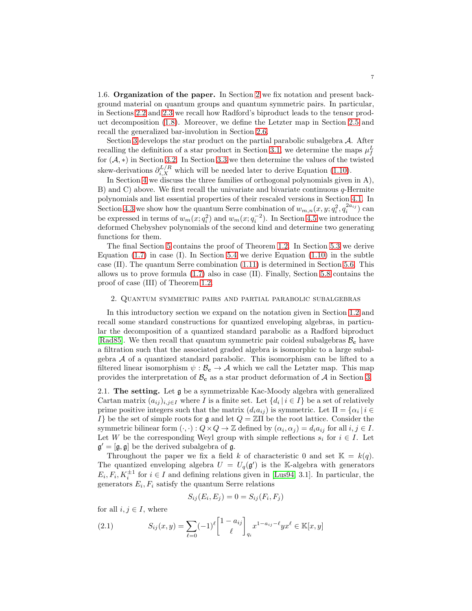1.6. Organization of the paper. In Section [2](#page-6-2) we fix notation and present background material on quantum groups and quantum symmetric pairs. In particular, in Sections [2.2](#page-7-0) and [2.3](#page-10-0) we recall how Radford's biproduct leads to the tensor product decomposition [\(1.8\)](#page-5-2). Moreover, we define the Letzter map in Section [2.5](#page-12-0) and recall the generalized bar-involution in Section [2.6.](#page-13-0)

Section [3](#page-13-1) develops the star product on the partial parabolic subalgebra A. After recalling the definition of a star product in Section [3.1,](#page-13-2) we determine the maps  $\mu_f^L$ for  $(A, *)$  in Section [3.2.](#page-14-0) In Section [3.3](#page-15-0) we then determine the values of the twisted skew-derivations  $\partial_{i,X}^{L/R}$  which will be needed later to derive Equation [\(1.10\)](#page-5-3).

In Section [4](#page-17-0) we discuss the three families of orthogonal polynomials given in A), B) and C) above. We first recall the univariate and bivariate continuous  $q$ -Hermite polynomials and list essential properties of their rescaled versions in Section [4.1.](#page-18-0) In Section [4.3](#page-20-1) we show how the quantum Serre combination of  $w_{m,n}(x, y; q_i^2, q_i^{2a_{ij}})$  can be expressed in terms of  $w_m(x; q_i^2)$  and  $w_m(x; q_i^{-2})$ . In Section [4.5](#page-22-0) we introduce the deformed Chebyshev polynomials of the second kind and determine two generating functions for them.

The final Section [5](#page-24-1) contains the proof of Theorem [1.2.](#page-4-2) In Section [5.3](#page-26-1) we derive Equation  $(1.7)$  in case  $(I)$ . In Section [5.4](#page-27-0) we derive Equation  $(1.10)$  in the subtle case (II). The quantum Serre combination [\(1.11\)](#page-5-1) is determined in Section [5.6.](#page-31-0) This allows us to prove formula [\(1.7\)](#page-4-1) also in case (II). Finally, Section [5.8](#page-34-0) contains the proof of case (III) of Theorem [1.2.](#page-4-2)

### <span id="page-6-2"></span>2. Quantum symmetric pairs and partial parabolic subalgebras

In this introductory section we expand on the notation given in Section [1.2](#page-1-3) and recall some standard constructions for quantized enveloping algebras, in particular the decomposition of a quantized standard parabolic as a Radford biproduct [\[Rad85\]](#page-36-11). We then recall that quantum symmetric pair coideal subalgebras  $B_c$  have a filtration such that the associated graded algebra is isomorphic to a large subalgebra A of a quantized standard parabolic. This isomorphism can be lifted to a filtered linear isomorphism  $\psi : \mathcal{B}_{c} \to \mathcal{A}$  which we call the Letzter map. This map provides the interpretation of  $B_c$  as a star product deformation of A in Section [3.](#page-13-1)

<span id="page-6-1"></span>2.1. The setting. Let g be a symmetrizable Kac-Moody algebra with generalized Cartan matrix  $(a_{ij})_{i,j\in I}$  where I is a finite set. Let  $\{d_i | i \in I\}$  be a set of relatively prime positive integers such that the matrix  $(d_i a_{ij})$  is symmetric. Let  $\Pi = {\alpha_i | i \in \mathbb{N}}$ I be the set of simple roots for g and let  $Q = \mathbb{Z} \Pi$  be the root lattice. Consider the symmetric bilinear form  $(\cdot, \cdot) : Q \times Q \to \mathbb{Z}$  defined by  $(\alpha_i, \alpha_j) = d_i a_{ij}$  for all  $i, j \in I$ . Let W be the corresponding Weyl group with simple reflections  $s_i$  for  $i \in I$ . Let  $\mathfrak{g}' = [\mathfrak{g}, \mathfrak{g}]$  be the derived subalgebra of  $\mathfrak{g}$ .

Throughout the paper we fix a field k of characteristic 0 and set  $\mathbb{K} = k(q)$ . The quantized enveloping algebra  $U = U_q(\mathfrak{g}')$  is the K-algebra with generators  $E_i, F_i, K_i^{\pm 1}$  for  $i \in I$  and defining relations given in [\[Lus94,](#page-36-13) 3.1]. In particular, the generators  $E_i, F_i$  satisfy the quantum Serre relations

$$
S_{ij}(E_i, E_j) = 0 = S_{ij}(F_i, F_j)
$$

for all  $i, j \in I$ , where

<span id="page-6-0"></span>(2.1) 
$$
S_{ij}(x,y) = \sum_{\ell=0}^{\infty} (-1)^{\ell} \begin{bmatrix} 1 - a_{ij} \\ \ell \end{bmatrix}_{q_i} x^{1 - a_{ij} - \ell} y x^{\ell} \in \mathbb{K}[x,y]
$$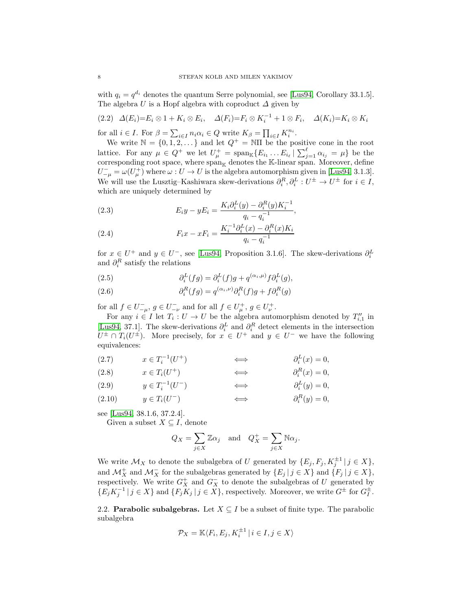with  $q_i = q^{d_i}$  denotes the quantum Serre polynomial, see [\[Lus94,](#page-36-13) Corollary 33.1.5]. The algebra U is a Hopf algebra with coproduct  $\Delta$  given by

<span id="page-7-1"></span>
$$
(2.2) \quad \Delta(E_i) = E_i \otimes 1 + K_i \otimes E_i, \quad \Delta(F_i) = F_i \otimes K_i^{-1} + 1 \otimes F_i, \quad \Delta(K_i) = K_i \otimes K_i
$$

for all  $i \in I$ . For  $\beta = \sum_{i \in I} n_i \alpha_i \in Q$  write  $K_{\beta} = \prod_{i \in I} K_i^{n_i}$ .

We write  $\mathbb{N} = \{0, 1, 2, \dots\}$  and let  $Q^+ = \mathbb{N}\Pi$  be the positive cone in the root lattice. For any  $\mu \in Q^+$  we let  $U^+_\mu = \text{span}_{\mathbb{K}} \{ E_{i_1} \dots E_{i_\ell} \mid \sum_{j=1}^\ell \alpha_{i_j} = \mu \}$  be the corresponding root space, where  $\text{span}_{\mathbb{K}}$  denotes the K-linear span. Moreover, define  $U_{-\mu}^- = \omega(U_\mu^+)$  where  $\omega: U \to U$  is the algebra automorphism given in [\[Lus94,](#page-36-13) 3.1.3]. We will use the Lusztig–Kashiwara skew-derivations  $\partial_i^R$ ,  $\partial_i^L: U^{\pm} \to U^{\pm}$  for  $i \in I$ , which are uniquely determined by

<span id="page-7-4"></span>(2.3) 
$$
E_i y - y E_i = \frac{K_i \partial_i^L(y) - \partial_i^R(y) K_i^{-1}}{q_i - q_i^{-1}},
$$

<span id="page-7-7"></span>(2.4) 
$$
F_i x - x F_i = \frac{K_i^{-1} \partial_i^L(x) - \partial_i^R(x) K_i}{q_i - q_i^{-1}}
$$

for  $x \in U^+$  and  $y \in U^-$ , see [\[Lus94,](#page-36-13) Proposition 3.1.6]. The skew-derivations  $\partial_i^L$ and  $\partial_i^R$  satisfy the relations

<span id="page-7-5"></span>(2.5) 
$$
\partial_i^L(fg) = \partial_i^L(f)g + q^{(\alpha_i,\mu)}f\partial_i^L(g),
$$

<span id="page-7-6"></span>(2.6) 
$$
\partial_i^R(fg) = q^{(\alpha_i,\nu)} \partial_i^R(f)g + f \partial_i^R(g)
$$

for all  $f \in U^-_{-\mu}$ ,  $g \in U^-_{-\nu}$  and for all  $f \in U^+_{\mu}$ ,  $g \in U^+_{\nu}$ .

For any  $i \in I$  let  $T_i: U \to U$  be the algebra automorphism denoted by  $T''_{i,1}$  in [\[Lus94,](#page-36-13) 37.1]. The skew-derivations  $\partial_i^L$  and  $\partial_i^R$  detect elements in the intersection  $U^{\pm} \cap T_i(U^{\pm})$ . More precisely, for  $x \in U^+$  and  $y \in U^-$  we have the following equivalences:

(2.7) 
$$
x \in T_i^{-1}(U^+)
$$
  $\qquad \Longleftrightarrow \qquad \partial_i^L(x) = 0,$ 

(2.8) 
$$
x \in T_i(U^+)
$$
  $\qquad \Longleftrightarrow \qquad \partial_i^R(x) = 0,$ 

<span id="page-7-2"></span>(2.9) 
$$
y \in T_i^{-1}(U^-)
$$
  $\qquad \Longleftrightarrow \qquad \partial_i^L(y) = 0,$ 

<span id="page-7-3"></span>(2.10) 
$$
y \in T_i(U^-)
$$
  $\qquad \Longleftrightarrow \qquad \partial_i^R(y) = 0,$ 

see [\[Lus94,](#page-36-13) 38.1.6, 37.2.4].

Given a subset  $X \subseteq I$ , denote

$$
Q_X = \sum_{j \in X} \mathbb{Z} \alpha_j
$$
 and  $Q_X^+ = \sum_{j \in X} \mathbb{N} \alpha_j$ .

We write  $\mathcal{M}_X$  to denote the subalgebra of U generated by  $\{E_j, F_j, K_j^{\pm 1} \mid j \in X\}$ , and  $\mathcal{M}_X^+$  and  $\mathcal{M}_X^-$  for the subalgebras generated by  $\{E_j \mid j \in X\}$  and  $\{F_j \mid j \in X\}$ , respectively. We write  $G_X^+$  and  $G_X^-$  to denote the subalgebras of U generated by  $\{E_j K_j^{-1} \mid j \in X\}$  and  $\{F_j K_j \mid j \in X\}$ , respectively. Moreover, we write  $G^{\pm}$  for  $G_I^{\pm}$ .

<span id="page-7-0"></span>2.2. **Parabolic subalgebras.** Let  $X \subseteq I$  be a subset of finite type. The parabolic subalgebra

$$
\mathcal{P}_X = \mathbb{K}\langle F_i, E_j, K_i^{\pm 1} \mid i \in I, j \in X \rangle
$$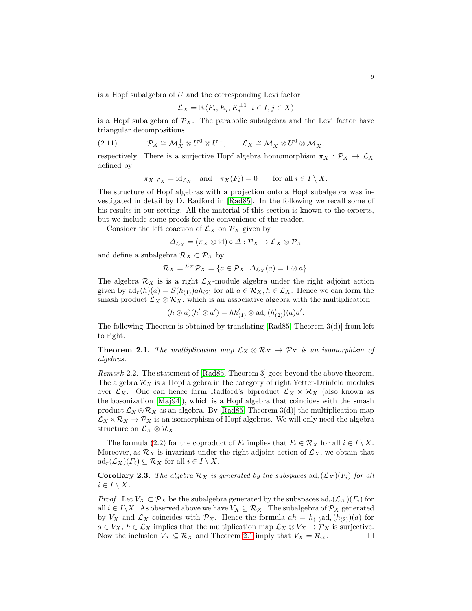is a Hopf subalgebra of U and the corresponding Levi factor

$$
\mathcal{L}_X = \mathbb{K}\langle F_j, E_j, K_i^{\pm 1} \,|\, i \in I, j \in X \rangle
$$

is a Hopf subalgebra of  $\mathcal{P}_X$ . The parabolic subalgebra and the Levi factor have triangular decompositions

<span id="page-8-1"></span>(2.11) 
$$
\mathcal{P}_X \cong \mathcal{M}_X^+ \otimes U^0 \otimes U^-, \qquad \mathcal{L}_X \cong \mathcal{M}_X^+ \otimes U^0 \otimes \mathcal{M}_X^-,
$$

respectively. There is a surjective Hopf algebra homomorphism  $\pi_X : \mathcal{P}_X \to \mathcal{L}_X$ defined by

$$
\pi_X|_{\mathcal{L}_X} = \mathrm{id}_{\mathcal{L}_X} \quad \text{and} \quad \pi_X(F_i) = 0 \quad \text{for all } i \in I \setminus X.
$$

The structure of Hopf algebras with a projection onto a Hopf subalgebra was investigated in detail by D. Radford in [\[Rad85\]](#page-36-11). In the following we recall some of his results in our setting. All the material of this section is known to the experts, but we include some proofs for the convenience of the reader.

Consider the left coaction of  $\mathcal{L}_X$  on  $\mathcal{P}_X$  given by

$$
\Delta_{\mathcal{L}_X} = (\pi_X \otimes \text{id}) \circ \Delta : \mathcal{P}_X \to \mathcal{L}_X \otimes \mathcal{P}_X
$$

and define a subalgebra  $\mathcal{R}_X \subset \mathcal{P}_X$  by

$$
\mathcal{R}_X = {}^{\mathcal{L}_X} \mathcal{P}_X = \{ a \in \mathcal{P}_X \mid \Delta_{\mathcal{L}_X}(a) = 1 \otimes a \}.
$$

The algebra  $\mathcal{R}_X$  is is a right  $\mathcal{L}_X$ -module algebra under the right adjoint action given by  $ad_r(h)(a) = S(h_{(1)})ah_{(2)}$  for all  $a \in \mathcal{R}_X, h \in \mathcal{L}_X$ . Hence we can form the smash product  $\mathcal{L}_X \otimes \mathcal{R}_X$ , which is an associative algebra with the multiplication

$$
(h \otimes a)(h' \otimes a') = hh_{(1)}' \otimes ad_r(h_{(2)}')(a)a'.
$$

The following Theorem is obtained by translating [\[Rad85,](#page-36-11) Theorem 3(d)] from left to right.

<span id="page-8-0"></span>**Theorem 2.1.** The multiplication map  $\mathcal{L}_X \otimes \mathcal{R}_X \to \mathcal{P}_X$  is an isomorphism of algebras.

Remark 2.2. The statement of [\[Rad85,](#page-36-11) Theorem 3] goes beyond the above theorem. The algebra  $\mathcal{R}_X$  is a Hopf algebra in the category of right Yetter-Drinfeld modules over  $\mathcal{L}_X$ . One can hence form Radford's biproduct  $\mathcal{L}_X \times \mathcal{R}_X$  (also known as the bosonization [\[Maj94\]](#page-36-14)), which is a Hopf algebra that coincides with the smash product  $\mathcal{L}_X \otimes \mathcal{R}_X$  as an algebra. By [\[Rad85,](#page-36-11) Theorem 3(d)] the multiplication map  $\mathcal{L}_X \times \mathcal{R}_X \to \mathcal{P}_X$  is an isomorphism of Hopf algebras. We will only need the algebra structure on  $\mathcal{L}_X \otimes \mathcal{R}_X$ .

The formula [\(2.2\)](#page-7-1) for the coproduct of  $F_i$  implies that  $F_i \in \mathcal{R}_X$  for all  $i \in I \setminus X$ . Moreover, as  $\mathcal{R}_X$  is invariant under the right adjoint action of  $\mathcal{L}_X$ , we obtain that  $ad_r(\mathcal{L}_X)(F_i) \subseteq \mathcal{R}_X$  for all  $i \in I \setminus X$ .

<span id="page-8-2"></span>**Corollary 2.3.** The algebra  $\mathcal{R}_X$  is generated by the subspaces  $ad_r(\mathcal{L}_X)(F_i)$  for all  $i \in I \setminus X$ .

*Proof.* Let  $V_X \subset \mathcal{P}_X$  be the subalgebra generated by the subspaces  $ad_r(\mathcal{L}_X)(F_i)$  for all  $i \in I \backslash X$ . As observed above we have  $V_X \subseteq \mathcal{R}_X$ . The subalgebra of  $\mathcal{P}_X$  generated by  $V_X$  and  $\mathcal{L}_X$  coincides with  $\mathcal{P}_X$ . Hence the formula  $ah = h_{(1)}ad_r(h_{(2)})(a)$  for  $a \in V_X$ ,  $h \in \mathcal{L}_X$  implies that the multiplication map  $\mathcal{L}_X \otimes V_X \to \mathcal{P}_X$  is surjective.<br>Now the inclusion  $V_X \subset \mathcal{R}_X$  and Theorem 2.1 imply that  $V_X = \mathcal{R}_X$ . Now the inclusion  $V_X \subseteq \mathcal{R}_X$  and Theorem [2.1](#page-8-0) imply that  $V_X = \mathcal{R}_X$ .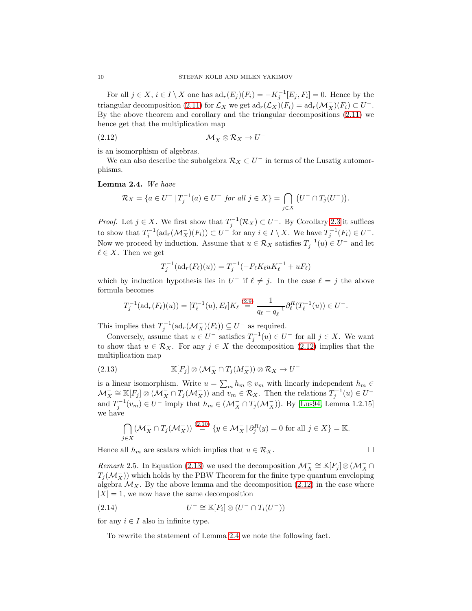For all  $j \in X$ ,  $i \in I \setminus X$  one has  $ad_r(E_j)(F_i) = -K_j^{-1}[E_j, F_i] = 0$ . Hence by the triangular decomposition [\(2.11\)](#page-8-1) for  $\mathcal{L}_X$  we get  $\mathrm{ad}_r(\mathcal{L}_X)(F_i) = \mathrm{ad}_r(\mathcal{M}_X^-)(F_i) \subset U^-$ . By the above theorem and corollary and the triangular decompositions [\(2.11\)](#page-8-1) we hence get that the multiplication map

<span id="page-9-0"></span>
$$
(\text{2.12}) \quad \mathcal{M}_X^- \otimes \mathcal{R}_X \to U^-
$$

is an isomorphism of algebras.

We can also describe the subalgebra  $\mathcal{R}_X \subset U^-$  in terms of the Lusztig automorphisms.

<span id="page-9-2"></span>Lemma 2.4. We have

$$
\mathcal{R}_X = \{ a \in U^- \, | \, T_j^{-1}(a) \in U^- \text{ for all } j \in X \} = \bigcap_{j \in X} \left( U^- \cap T_j(U^-) \right).
$$

*Proof.* Let  $j \in X$ . We first show that  $T_j^{-1}(\mathcal{R}_X) \subset U^-$ . By Corollary [2.3](#page-8-2) it suffices to show that  $T_j^{-1}(\text{ad}_r(\mathcal{M}_X^-)(F_i)) \subset U^-$  for any  $i \in I \setminus X$ . We have  $T_j^{-1}(F_i) \in U^-$ . Now we proceed by induction. Assume that  $u \in \mathcal{R}_X$  satisfies  $T_j^{-1}(u) \in U^-$  and let  $\ell \in X$ . Then we get

$$
T_j^{-1}(\text{ad}_r(F_{\ell})(u)) = T_j^{-1}(-F_{\ell}K_{\ell}uK_{\ell}^{-1} + uF_{\ell})
$$

which by induction hypothesis lies in  $U^-$  if  $\ell \neq j$ . In the case  $\ell = j$  the above formula becomes

$$
T_j^{-1}(\mathrm{ad}_r(F_{\ell})(u)) = [T_{\ell}^{-1}(u), E_{\ell}] K_{\ell} \stackrel{(2.9)}{=} \frac{1}{q_{\ell} - q_{\ell}^{-1}} \partial_{\ell}^R(T_{\ell}^{-1}(u)) \in U^-.
$$

This implies that  $T_j^{-1}(\text{ad}_r(\mathcal{M}_X^-)(F_i)) \subseteq U^-$  as required.

Conversely, assume that  $u \in U^-$  satisfies  $T_j^{-1}(u) \in U^-$  for all  $j \in X$ . We want to show that  $u \in \mathcal{R}_X$ . For any  $j \in X$  the decomposition [\(2.12\)](#page-9-0) implies that the multiplication map

<span id="page-9-1"></span>(2.13) 
$$
\mathbb{K}[F_j] \otimes (\mathcal{M}_X^- \cap T_j(\mathcal{M}_X^-)) \otimes \mathcal{R}_X \to U^-
$$

is a linear isomorphism. Write  $u = \sum_m h_m \otimes v_m$  with linearly independent  $h_m \in$  $\mathcal{M}_X^- \cong \mathbb{K}[F_j] \otimes (\mathcal{M}_X^- \cap T_j(\mathcal{M}_X^-))$  and  $v_m \in \mathcal{R}_X$ . Then the relations  $T_j^{-1}(u) \in U^$ and  $T_j^{-1}(v_m) \in U^-$  imply that  $h_m \in (\mathcal{M}^-_X \cap T_j(\mathcal{M}^-_X))$ . By [\[Lus94,](#page-36-13) Lemma 1.2.15] we have

$$
\bigcap_{j\in X} (\mathcal{M}_X^- \cap T_j(\mathcal{M}_X^-)) \stackrel{(2.10)}{=} \{y \in \mathcal{M}_X^- \mid \partial_j^R(y) = 0 \text{ for all } j \in X\} = \mathbb{K}.
$$

Hence all  $h_m$  are scalars which implies that  $u \in \mathcal{R}_X$ .

Remark 2.5. In Equation [\(2.13\)](#page-9-1) we used the decomposition  $\mathcal{M}_X^- \cong \mathbb{K}[F_j] \otimes (\mathcal{M}_X^- \cap$  $T_j(\mathcal{M}^-_X)$ ) which holds by the PBW Theorem for the finite type quantum enveloping algebra  $\mathcal{M}_X$ . By the above lemma and the decomposition [\(2.12\)](#page-9-0) in the case where  $|X| = 1$ , we now have the same decomposition

<span id="page-9-3"></span>(2.14) 
$$
U^{-} \cong \mathbb{K}[F_i] \otimes (U^{-} \cap T_i(U^{-}))
$$

for any  $i \in I$  also in infinite type.

To rewrite the statement of Lemma [2.4](#page-9-2) we note the following fact.

$$
\Box
$$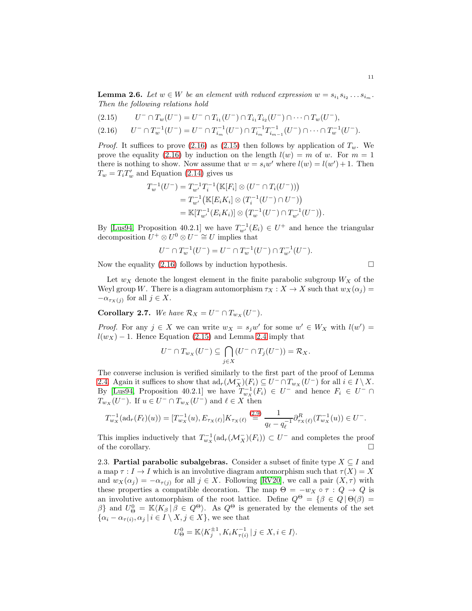**Lemma 2.6.** Let  $w \in W$  be an element with reduced expression  $w = s_{i_1} s_{i_2} \dots s_{i_m}$ . Then the following relations hold

<span id="page-10-2"></span>
$$
(2.15) \t U^- \cap T_w(U^-) = U^- \cap T_{i_1}(U^-) \cap T_{i_1}T_{i_2}(U^-) \cap \cdots \cap T_w(U^-),
$$

<span id="page-10-1"></span>
$$
(2.16) \qquad U^{-} \cap T_{w}^{-1}(U^{-}) = U^{-} \cap T_{i_{m}}^{-1}(U^{-}) \cap T_{i_{m}}^{-1}T_{i_{m-1}}^{-1}(U^{-}) \cap \cdots \cap T_{w}^{-1}(U^{-}).
$$

*Proof.* It suffices to prove [\(2.16\)](#page-10-1) as [\(2.15\)](#page-10-2) then follows by application of  $T_w$ . We prove the equality [\(2.16\)](#page-10-1) by induction on the length  $l(w) = m$  of w. For  $m = 1$ there is nothing to show. Now assume that  $w = s_i w'$  where  $l(w) = l(w') + 1$ . Then  $T_w = T_i T_w'$  and Equation [\(2.14\)](#page-9-3) gives us

$$
T_w^{-1}(U^-) = T_{w'}^{-1}T_i^{-1}(\mathbb{K}[F_i] \otimes (U^- \cap T_i(U^-)))
$$
  
=  $T_{w'}^{-1}(\mathbb{K}[E_i K_i] \otimes (T_i^{-1}(U^-) \cap U^-))$   
=  $\mathbb{K}[T_{w'}^{-1}(E_i K_i)] \otimes (T_w^{-1}(U^-) \cap T_{w'}^{-1}(U^-))$ 

By [\[Lus94,](#page-36-13) Proposition 40.2.1] we have  $T_{w'}^{-1}(E_i) \in U^+$  and hence the triangular decomposition  $U^+ \otimes U^0 \otimes U^- \cong U$  implies that

$$
U^- \cap T_w^{-1}(U^-) = U^- \cap T_w^{-1}(U^-) \cap T_{w'}^{-1}(U^-).
$$

Now the equality  $(2.16)$  follows by induction hypothesis.

.

Let  $w_X$  denote the longest element in the finite parabolic subgroup  $W_X$  of the Weyl group W. There is a diagram automorphism  $\tau_X : X \to X$  such that  $w_X(\alpha_i) =$  $-\alpha_{\tau_X(j)}$  for all  $j \in X$ .

<span id="page-10-3"></span>**Corollary 2.7.** We have  $\mathcal{R}_X = U^- \cap T_{w_X}(U^-)$ .

*Proof.* For any  $j \in X$  we can write  $w_X = s_j w'$  for some  $w' \in W_X$  with  $l(w') =$  $l(w_X) - 1$ . Hence Equation [\(2.15\)](#page-10-2) and Lemma [2.4](#page-9-2) imply that

$$
U^-\cap T_{w_X}(U^-)\subseteq \bigcap_{j\in X}(U^-\cap T_j(U^-))=\mathcal{R}_X.
$$

The converse inclusion is verified similarly to the first part of the proof of Lemma [2.4.](#page-9-2) Again it suffices to show that  $ad_r(\mathcal{M}_X^-)(F_i) \subseteq U^- \cap T_{w_X}(U^-)$  for all  $i \in I \setminus X$ . By [\[Lus94,](#page-36-13) Proposition 40.2.1] we have  $T_{w_X}^{-1}(F_i) \in U^-$  and hence  $F_i \in U^- \cap$  $T_{w_X}(U^-)$ . If  $u \in U^- \cap T_{w_X}(U^-)$  and  $\ell \in X$  then

$$
T_{w_X}^{-1}(\mathrm{ad}_r(F_\ell)(u)) = [T_{w_X}^{-1}(u), E_{\tau_X(\ell)}] K_{\tau_X(\ell)} \stackrel{(2.9)}{=} \frac{1}{q_\ell - q_\ell^{-1}} \partial_{\tau_X(\ell)}^R(T_{w_X}^{-1}(u)) \in U^-.
$$

This implies inductively that  $T_{w_X}^{-1}(\text{ad}_r(\mathcal{M}_X^-)(F_i)) \subset U^-$  and completes the proof of the corollary.  $\Box$ 

<span id="page-10-0"></span>2.3. **Partial parabolic subalgebras.** Consider a subset of finite type  $X \subseteq I$  and a map  $\tau : I \to I$  which is an involutive diagram automorphism such that  $\tau(X) = X$ and  $w_X(\alpha_j) = -\alpha_{\tau(j)}$  for all  $j \in X$ . Following [\[RV20\]](#page-36-2), we call a pair  $(X, \tau)$  with these properties a compatible decoration. The map  $\Theta = -w_X \circ \tau : Q \to Q$  is an involutive automorphism of the root lattice. Define  $Q^{\Theta} = \{ \beta \in Q \mid \Theta(\beta) = \alpha \}$ β} and  $U^0_\Theta = \mathbb{K}\langle K_\beta | \beta \in Q^\Theta \rangle$ . As  $Q^\Theta$  is generated by the elements of the set  $\{\alpha_i - \alpha_{\tau(i)}, \alpha_j \mid i \in I \setminus X, j \in X\}$ , we see that

$$
U^0_{\Theta} = \mathbb{K}\langle K_j^{\pm 1}, K_i K_{\tau(i)}^{-1} \,|\, j \in X, i \in I \rangle.
$$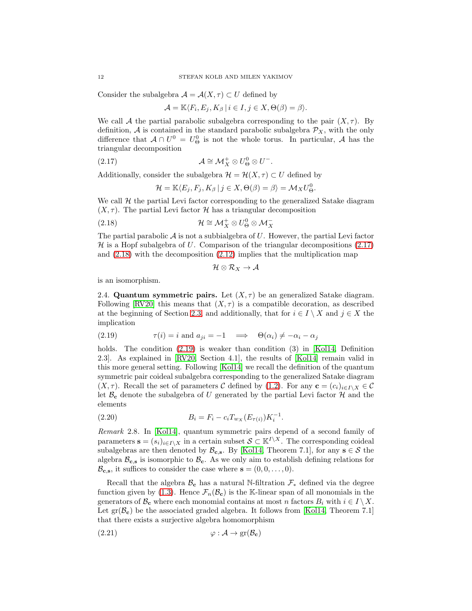Consider the subalgebra  $\mathcal{A} = \mathcal{A}(X, \tau) \subset U$  defined by

$$
\mathcal{A}=\mathbb{K}\langle F_i,E_j,K_\beta\,|\,i\in I, j\in X,\Theta(\beta)=\beta\rangle.
$$

We call A the partial parabolic subalgebra corresponding to the pair  $(X, \tau)$ . By definition, A is contained in the standard parabolic subalgebra  $\mathcal{P}_X$ , with the only difference that  $A \cap U^0 = U^0_{\Theta}$  is not the whole torus. In particular, A has the triangular decomposition

<span id="page-11-0"></span>(2.17) 
$$
\mathcal{A} \cong \mathcal{M}_X^+ \otimes U_\Theta^0 \otimes U^-.
$$

Additionally, consider the subalgebra  $\mathcal{H} = \mathcal{H}(X,\tau) \subset U$  defined by

$$
\mathcal{H} = \mathbb{K}\langle E_j, F_j, K_\beta \, | \, j \in X, \Theta(\beta) = \beta \rangle = \mathcal{M}_X U^0_{\Theta}.
$$

We call  $\mathcal H$  the partial Levi factor corresponding to the generalized Satake diagram  $(X, \tau)$ . The partial Levi factor H has a triangular decomposition

<span id="page-11-1"></span>(2.18) 
$$
\mathcal{H} \cong \mathcal{M}_X^+ \otimes U_\Theta^0 \otimes \mathcal{M}_X^-
$$

The partial parabolic  $\mathcal A$  is not a subbialgebra of U. However, the partial Levi factor  $H$  is a Hopf subalgebra of U. Comparison of the triangular decompositions [\(2.17\)](#page-11-0) and [\(2.18\)](#page-11-1) with the decomposition [\(2.12\)](#page-9-0) implies that the multiplication map

$$
\mathcal{H}\otimes\mathcal{R}_X\to\mathcal{A}
$$

<span id="page-11-4"></span>is an isomorphism.

2.4. Quantum symmetric pairs. Let  $(X, \tau)$  be an generalized Satake diagram. Following [\[RV20\]](#page-36-2) this means that  $(X, \tau)$  is a compatible decoration, as described at the beginning of Section [2.3,](#page-10-0) and additionally, that for  $i \in I \setminus X$  and  $j \in X$  the implication

<span id="page-11-2"></span>(2.19) 
$$
\tau(i) = i \text{ and } a_{ji} = -1 \implies \Theta(\alpha_i) \neq -\alpha_i - \alpha_j
$$

holds. The condition  $(2.19)$  is weaker than condition  $(3)$  in [\[Kol14,](#page-36-1) Definition] 2.3]. As explained in [\[RV20,](#page-36-2) Section 4.1], the results of [\[Kol14\]](#page-36-1) remain valid in this more general setting. Following [\[Kol14\]](#page-36-1) we recall the definition of the quantum symmetric pair coideal subalgebra corresponding to the generalized Satake diagram  $(X, \tau)$ . Recall the set of parameters C defined by [\(1.2\)](#page-1-4). For any  $\mathbf{c} = (c_i)_{i \in I \setminus X} \in \mathcal{C}$ let  $\mathcal{B}_{c}$  denote the subalgebra of U generated by the partial Levi factor H and the elements

<span id="page-11-5"></span>(2.20) 
$$
B_i = F_i - c_i T_{w_X}(E_{\tau(i)}) K_i^{-1}.
$$

Remark 2.8. In [\[Kol14\]](#page-36-1), quantum symmetric pairs depend of a second family of parameters  $\mathbf{s} = (s_i)_{i \in I \setminus X}$  in a certain subset  $\mathcal{S} \subset \mathbb{K}^{I \setminus X}$ . The corresponding coideal subalgebras are then denoted by  $\mathcal{B}_{c,s}$ . By [\[Kol14,](#page-36-1) Theorem 7.1], for any  $s \in \mathcal{S}$  the algebra  $\mathcal{B}_{c,s}$  is isomorphic to  $\mathcal{B}_{c}$ . As we only aim to establish defining relations for  $\mathcal{B}_{c,s}$ , it suffices to consider the case where  $s = (0, 0, \ldots, 0)$ .

Recall that the algebra  $\mathcal{B}_{c}$  has a natural N-filtration  $\mathcal{F}_{*}$  defined via the degree function given by [\(1.3\)](#page-1-2). Hence  $\mathcal{F}_n(\mathcal{B}_c)$  is the K-linear span of all monomials in the generators of  $\mathcal{B}_{\mathbf{c}}$  where each monomial contains at most n factors  $B_i$  with  $i \in I \setminus X$ . Let  $gr(\mathcal{B}_{c})$  be the associated graded algebra. It follows from [\[Kol14,](#page-36-1) Theorem 7.1] that there exists a surjective algebra homomorphism

<span id="page-11-3"></span>
$$
\varphi : \mathcal{A} \to \text{gr}(\mathcal{B}_{\mathbf{c}})
$$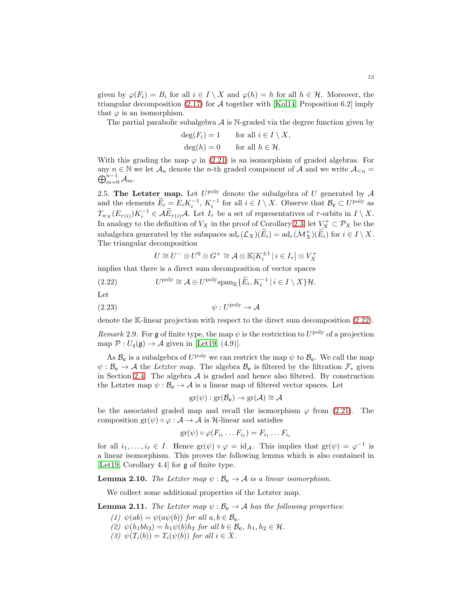given by  $\varphi(F_i) = B_i$  for all  $i \in I \setminus X$  and  $\varphi(h) = h$  for all  $h \in \mathcal{H}$ . Moreover, the triangular decomposition  $(2.17)$  for A together with [\[Kol14,](#page-36-1) Proposition 6.2] imply that  $\varphi$  is an isomorphism.

The partial parabolic subalgebra  $A$  is N-graded via the degree function given by

$$
\deg(F_i) = 1 \qquad \text{for all } i \in I \setminus X,
$$
  

$$
\deg(h) = 0 \qquad \text{for all } h \in \mathcal{H}.
$$

With this grading the map  $\varphi$  in [\(2.21\)](#page-11-3) is an isomorphism of graded algebras. For  $\bigoplus_{m=0}^{n-1} \mathcal{A}_m.$ any  $n \in \mathbb{N}$  we let  $\mathcal{A}_n$  denote the *n*-th graded component of  $\mathcal{A}$  and we write  $\mathcal{A}_{\leq n}$ 

<span id="page-12-0"></span>2.5. The Letzter map. Let  $U^{\text{poly}}$  denote the subalgebra of U generated by A and the elements  $\widetilde{E}_i = E_i K_i^{-1}$ ,  $K_i^{-1}$  for all  $i \in I \setminus X$ . Observe that  $\mathcal{B}_c \subset U^{\text{poly}}$  as  $T_{w_X}(E_{\tau(i)})K_i^{-1} \in \widetilde{\mathcal{AE}}_{\tau(i)}\mathcal{A}$ . Let  $I_{\tau}$  be a set of representatives of  $\tau$ -orbits in  $I \setminus X$ . In analogy to the definition of  $V_X$  in the proof of Corollary [2.3,](#page-8-2) let  $V_X^+ \subset \mathcal{P}_X$  be the subalgebra generated by the subspaces  $ad_r(\mathcal{L}_X)(\widetilde{E}_i) = ad_r(\mathcal{M}_X^+) (\widetilde{E}_i)$  for  $i \in I \setminus X$ . The triangular decomposition

$$
U \cong U^{-} \otimes U^{0} \otimes G^{+} \cong \mathcal{A} \otimes \mathbb{K}[K_{i}^{\pm 1} \mid i \in I_{\tau}] \otimes V_{X}^{+}
$$

implies that there is a direct sum decomposition of vector spaces

<span id="page-12-1"></span>(2.22) 
$$
U^{\text{poly}} \cong \mathcal{A} \oplus U^{\text{poly}} \text{span}_{\mathbb{K}} \{ \widetilde{E}_i, K_i^{-1} \mid i \in I \setminus X \} \mathcal{H}.
$$

Let

<span id="page-12-2"></span>
$$
\psi: U^{\text{poly}} \to \mathcal{A}
$$

denote the K-linear projection with respect to the direct sum decomposition [\(2.22\)](#page-12-1).

Remark 2.9. For g of finite type, the map  $\psi$  is the restriction to  $U^{\text{poly}}$  of a projection map  $\mathcal{P}: U_q(\mathfrak{g}) \to \mathcal{A}$  given in [\[Let19,](#page-36-10) (4.9)].

As  $\mathcal{B}_{c}$  is a subalgebra of  $U^{\text{poly}}$  we can restrict the map  $\psi$  to  $\mathcal{B}_{c}$ . We call the map  $\psi : \mathcal{B}_c \to \mathcal{A}$  the Letzter map. The algebra  $\mathcal{B}_c$  is filtered by the filtration  $\mathcal{F}_*$  given in Section [2.4.](#page-11-4) The algebra  $A$  is graded and hence also filtered. By construction the Letzter map  $\psi : \mathcal{B}_c \to \mathcal{A}$  is a linear map of filtered vector spaces. Let

$$
\mathrm{gr}(\psi): \mathrm{gr}(\mathcal{B}_{\mathbf{c}}) \to \mathrm{gr}(\mathcal{A}) \cong \mathcal{A}
$$

be the associated graded map and recall the isomorphism  $\varphi$  from [\(2.21\)](#page-11-3). The composition  $gr(\psi) \circ \varphi : A \to A$  is H-linear and satisfies

$$
\mathrm{gr}(\psi)\circ\varphi(F_{i_1}\dots F_{i_\ell})=F_{i_1}\dots F_{i_\ell}
$$

for all  $i_1, \ldots, i_\ell \in I$ . Hence  $\text{gr}(\psi) \circ \varphi = \text{id}_{\mathcal{A}}$ . This implies that  $\text{gr}(\psi) = \varphi^{-1}$  is a linear isomorphism. This proves the following lemma which is also contained in [\[Let19,](#page-36-10) Corollary 4.4] for g of finite type.

<span id="page-12-3"></span>**Lemma 2.10.** The Letzter map  $\psi : \mathcal{B}_{c} \to \mathcal{A}$  is a linear isomorphism.

We collect some additional properties of the Letzter map.

<span id="page-12-4"></span>**Lemma 2.11.** The Letzter map  $\psi : \mathcal{B}_{c} \to \mathcal{A}$  has the following properties:

- (1)  $\psi(ab) = \psi(a\psi(b))$  for all  $a, b \in \mathcal{B}_{c}$ .
- (2)  $\psi(h_1bh_2) = h_1\psi(b)h_2$  for all  $b \in \mathcal{B}_{c}$ ,  $h_1, h_2 \in \mathcal{H}$ .
- (3)  $\psi(T_i(b)) = T_i(\psi(b))$  for all  $i \in X$ .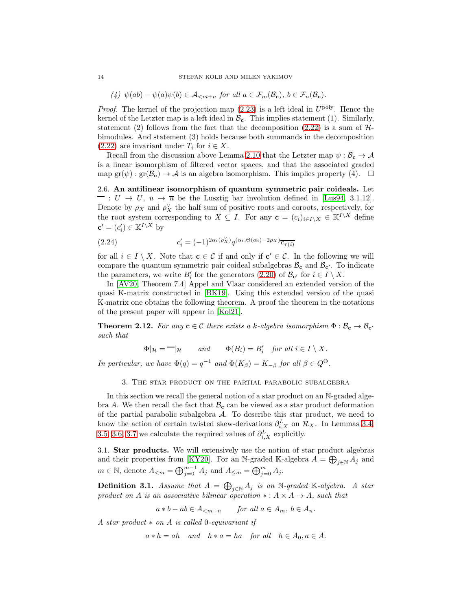(4)  $\psi(ab) - \psi(a)\psi(b) \in \mathcal{A}_{\leq m+n}$  for all  $a \in \mathcal{F}_m(\mathcal{B}_{\mathbf{c}})$ ,  $b \in \mathcal{F}_n(\mathcal{B}_{\mathbf{c}})$ .

*Proof.* The kernel of the projection map  $(2.23)$  is a left ideal in  $U^{\text{poly}}$ . Hence the kernel of the Letzter map is a left ideal in  $\mathcal{B}_{c}$ . This implies statement (1). Similarly, statement (2) follows from the fact that the decomposition [\(2.22\)](#page-12-1) is a sum of  $H$ bimodules. And statement (3) holds because both summands in the decomposition  $(2.22)$  are invariant under  $T_i$  for  $i \in X$ .

Recall from the discussion above Lemma [2.10](#page-12-3) that the Letzter map  $\psi : \mathcal{B}_c \to \mathcal{A}$ is a linear isomorphism of filtered vector spaces, and that the associated graded map  $\text{gr}(\psi) : \text{gr}(\mathcal{B}_{c}) \to \mathcal{A}$  is an algebra isomorphism. This implies property (4).  $\Box$ 

<span id="page-13-0"></span>2.6. An antilinear isomorphism of quantum symmetric pair coideals. Let  $\overline{\phantom{a}}: U \rightarrow U, u \mapsto \overline{u}$  be the Lusztig bar involution defined in [\[Lus94,](#page-36-13) 3.1.12]. Denote by  $\rho_X$  and  $\rho_X^{\vee}$  the half sum of positive roots and coroots, respectively, for the root system corresponding to  $X \subseteq I$ . For any  $\mathbf{c} = (c_i)_{i \in I \setminus X} \in \mathbb{K}^{I \setminus X}$  define  $\mathbf{c}' = (c'_i) \in \mathbb{K}^{I \setminus X}$  by

<span id="page-13-3"></span>(2.24) 
$$
c'_{i} = (-1)^{2\alpha_i(\rho_X^{\vee})} q^{(\alpha_i, \Theta(\alpha_i) - 2\rho_X)} \overline{c_{\tau(i)}}
$$

for all  $i \in I \setminus X$ . Note that  $\mathbf{c} \in \mathcal{C}$  if and only if  $\mathbf{c}' \in \mathcal{C}$ . In the following we will compare the quantum symmetric pair coideal subalgebras  $B_c$  and  $B_{c'}$ . To indicate the parameters, we write  $B'_i$  for the generators [\(2.20\)](#page-11-5) of  $\mathcal{B}_{\mathbf{c}'}$  for  $i \in I \setminus X$ .

In [\[AV20,](#page-35-5) Theorem 7.4] Appel and Vlaar considered an extended version of the quasi K-matrix constructed in [\[BK19\]](#page-35-1). Using this extended version of the quasi K-matrix one obtains the following theorem. A proof the theorem in the notations of the present paper will appear in [\[Kol21\]](#page-36-12).

<span id="page-13-4"></span>**Theorem 2.12.** For any  $c \in C$  there exists a k-algebra isomorphism  $\Phi : \mathcal{B}_{c} \to \mathcal{B}_{c'}$ such that

 $\Phi|_{\mathcal{H}} = -|_{\mathcal{H}}$  and  $\Phi(B_i) = B'_i$  for all  $i \in I \setminus X$ .

<span id="page-13-1"></span>In particular, we have  $\Phi(q) = q^{-1}$  and  $\Phi(K_{\beta}) = K_{-\beta}$  for all  $\beta \in Q^{\Theta}$ .

3. The star product on the partial parabolic subalgebra

In this section we recall the general notion of a star product on an N-graded algebra A. We then recall the fact that  $\mathcal{B}_{c}$  can be viewed as a star product deformation of the partial parabolic subalgebra  $A$ . To describe this star product, we need to know the action of certain twisted skew-derivations  $\partial_{i,X}^L$  on  $\mathcal{R}_X$ . In Lemmas [3.4,](#page-15-1) [3.5,](#page-15-2) [3.6,](#page-16-0) [3.7](#page-17-1) we calculate the required values of  $\partial_{i,X}^L$  explicitly.

<span id="page-13-2"></span>3.1. Star products. We will extensively use the notion of star product algebras and their properties from [\[KY20\]](#page-36-8). For an N-graded K-algebra  $A = \bigoplus_{j \in \mathbb{N}} A_j$  and  $m \in \mathbb{N}$ , denote  $A_{\leq m} = \bigoplus_{j=0}^{m-1} A_j$  and  $A_{\leq m} = \bigoplus_{j=0}^{m} A_j$ .

**Definition 3.1.** Assume that  $A = \bigoplus_{j \in \mathbb{N}} A_j$  is an N-graded K-algebra. A star product on A is an associative bilinear operation  $\ast : A \times A \rightarrow A$ , such that

$$
a * b - ab \in A_{
$$

A star product ∗ on A is called 0-equivariant if

 $a * h = ah$  and  $h * a = ha$  for all  $h \in A_0, a \in A$ .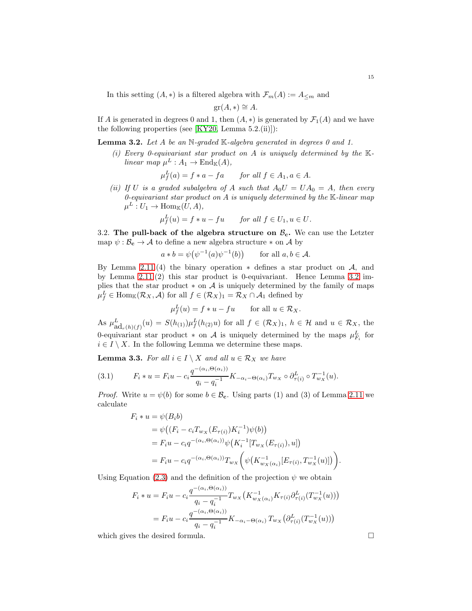In this setting  $(A, *)$  is a filtered algebra with  $\mathcal{F}_m(A) := A_{\leq m}$  and

$$
\operatorname{gr}(A,*) \cong A.
$$

If A is generated in degrees 0 and 1, then  $(A, *)$  is generated by  $\mathcal{F}_1(A)$  and we have the following properties (see  $[KY20, \text{ Lemma } 5.2.(\text{ii})]:$ 

<span id="page-14-1"></span>**Lemma 3.2.** Let A be an N-graded K-algebra generated in degrees 0 and 1.

(i) Every 0-equivariant star product on A is uniquely determined by the  $\mathbb{K}$ linear map  $\mu^L : A_1 \to \text{End}_{\mathbb{K}}(A),$ 

$$
\mu_f^L(a) = f * a - fa \quad \text{for all } f \in A_1, a \in A.
$$

(ii) If U is a graded subalgebra of A such that  $A_0U = UA_0 = A$ , then every 0-equivariant star product on  $A$  is uniquely determined by the  $K$ -linear map  $\mu^L: U_1 \to \text{Hom}_{\mathbb{K}}(U, A),$ 

$$
\mu_f^L(u) = f * u - fu \quad \text{for all } f \in U_1, u \in U.
$$

<span id="page-14-0"></span>3.2. The pull-back of the algebra structure on  $\mathcal{B}_{c}$ . We can use the Letzter map  $\psi : \mathcal{B}_c \to \mathcal{A}$  to define a new algebra structure  $*$  on  $\mathcal{A}$  by

> $a * b = \psi(\psi^{-1}(a)\psi^{-1}(b))$ for all  $a, b \in A$ .

By Lemma [2.11.](#page-12-4)(4) the binary operation  $*$  defines a star product on  $A$ , and by Lemma [2.11.](#page-12-4)(2) this star product is 0-equivariant. Hence Lemma [3.2](#page-14-1) implies that the star product  $*$  on  $A$  is uniquely determined by the family of maps  $\mu_f^L \in \text{Hom}_{\mathbb{K}}(\mathcal{R}_X, \mathcal{A})$  for all  $f \in (\mathcal{R}_X)_1 = \mathcal{R}_X \cap \mathcal{A}_1$  defined by

$$
\mu_f^L(u) = f * u - fu \quad \text{for all } u \in \mathcal{R}_X.
$$

As  $\mu_{\mathrm{ad}_r(h)(f)}^L(u) = S(h_{(1)})\mu_f^L(h_{(2)}u)$  for all  $f \in (\mathcal{R}_X)_1$ ,  $h \in \mathcal{H}$  and  $u \in \mathcal{R}_X$ , the 0-equivariant star product  $*$  on A is uniquely determined by the maps  $\mu_{F_i}^L$  for  $i \in I \setminus X$ . In the following Lemma we determine these maps.

<span id="page-14-2"></span>**Lemma 3.3.** For all  $i \in I \setminus X$  and all  $u \in \mathcal{R}_X$  we have

<span id="page-14-3"></span>(3.1) 
$$
F_i * u = F_i u - c_i \frac{q^{-(\alpha_i, \Theta(\alpha_i))}}{q_i - q_i^{-1}} K_{-\alpha_i - \Theta(\alpha_i)} T_{w_X} \circ \partial_{\tau(i)}^L \circ T_{w_X}^{-1}(u).
$$

*Proof.* Write  $u = \psi(b)$  for some  $b \in \mathcal{B}_{c}$ . Using parts (1) and (3) of Lemma [2.11](#page-12-4) we calculate

$$
F_i * u = \psi(B_i b)
$$
  
=  $\psi((F_i - c_i T_{w_X}(E_{\tau(i)}) K_i^{-1})\psi(b))$   
=  $F_i u - c_i q^{-(\alpha_i, \Theta(\alpha_i))}\psi(K_i^{-1}[T_{w_X}(E_{\tau(i)}), u])$   
=  $F_i u - c_i q^{-(\alpha_i, \Theta(\alpha_i))}T_{w_X} \bigg(\psi(K_{w_X(\alpha_i)}^{-1}[E_{\tau(i)}, T_{w_X}^{-1}(u)])\bigg).$ 

Using Equation [\(2.3\)](#page-7-4) and the definition of the projection  $\psi$  we obtain

$$
F_i * u = F_i u - c_i \frac{q^{-(\alpha_i, \Theta(\alpha_i))}}{q_i - q_i^{-1}} T_{w_X} (K_{w_X(\alpha_i)}^{-1} K_{\tau(i)} \partial_{\tau(i)}^L (T_{w_X}^{-1}(u)))
$$
  
= 
$$
F_i u - c_i \frac{q^{-(\alpha_i, \Theta(\alpha_i))}}{q_i - q_i^{-1}} K_{-\alpha_i - \Theta(\alpha_i)} T_{w_X} (\partial_{\tau(i)}^L (T_{w_X}^{-1}(u)))
$$

which gives the desired formula.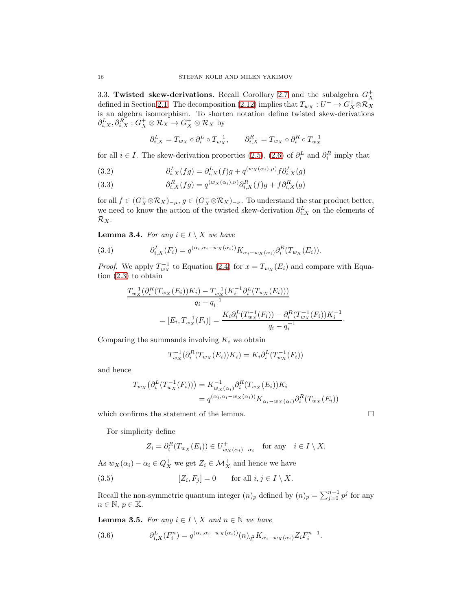<span id="page-15-0"></span>3.3. Twisted skew-derivations. Recall Corollary [2.7](#page-10-3) and the subalgebra  $G_X^+$ defined in Section [2.1.](#page-6-1) The decomposition [\(2.12\)](#page-9-0) implies that  $T_{w_X}: U^- \to G^+_X \otimes \mathcal{R}_X$ is an algebra isomorphism. To shorten notation define twisted skew-derivations  $\partial_{i,X}^L, \partial_{i,X}^R : G_X^+ \otimes \mathcal{R}_X \to G_X^+ \otimes \mathcal{R}_X$  by

$$
\partial_{i,X}^L=T_{w_X}\circ\partial_i^L\circ T_{w_X}^{-1},\qquad \partial_{i,X}^R=T_{w_X}\circ\partial_i^R\circ T_{w_X}^{-1}
$$

for all  $i \in I$ . The skew-derivation properties [\(2.5\)](#page-7-5), [\(2.6\)](#page-7-6) of  $\partial_i^L$  and  $\partial_i^R$  imply that

<span id="page-15-4"></span>(3.2) 
$$
\partial_{i,X}^L(fg) = \partial_{i,X}^L(f)g + q^{(w_X(\alpha_i),\mu)}f\partial_{i,X}^L(g)
$$

<span id="page-15-7"></span>(3.3) 
$$
\partial_{i,X}^R(fg) = q^{(w_X(\alpha_i),\nu)} \partial_{i,X}^R(f)g + f \partial_{i,X}^R(g)
$$

for all  $f \in (G_X^+ \otimes \mathcal{R}_X)_{-\mu}, g \in (G_X^+ \otimes \mathcal{R}_X)_{-\nu}$ . To understand the star product better, we need to know the action of the twisted skew-derivation  $\partial_{i,X}^L$  on the elements of  $\mathcal{R}_X$ .

<span id="page-15-1"></span>**Lemma 3.4.** For any  $i \in I \setminus X$  we have

<span id="page-15-5"></span>(3.4) 
$$
\partial_{i,X}^L(F_i) = q^{(\alpha_i, \alpha_i - w_X(\alpha_i))} K_{\alpha_i - w_X(\alpha_i)} \partial_i^R(T_{w_X}(E_i)).
$$

*Proof.* We apply  $T_{w_X}^{-1}$  to Equation [\(2.4\)](#page-7-7) for  $x = T_{w_X}(E_i)$  and compare with Equation [\(2.3\)](#page-7-4) to obtain

$$
T_{w_X}^{-1}(\partial_i^R(T_{w_X}(E_i))K_i) - T_{w_X}^{-1}(K_i^{-1}\partial_i^L(T_{w_X}(E_i)))
$$
  
\n
$$
q_i - q_i^{-1}
$$
  
\n
$$
= [E_i, T_{w_X}^{-1}(F_i)] = \frac{K_i \partial_i^L(T_{w_X}^{-1}(F_i)) - \partial_i^R(T_{w_X}^{-1}(F_i))K_i^{-1}}{q_i - q_i^{-1}}
$$

Comparing the summands involving  $K_i$  we obtain

$$
T_{w_{X}}^{-1}(\partial_{i}^{R}(T_{w_{X}}(E_{i}))K_{i}) = K_{i}\partial_{i}^{L}(T_{w_{X}}^{-1}(F_{i}))
$$

and hence

$$
T_{w_X}\big(\partial_i^L(T_{w_X}^{-1}(F_i))\big) = K_{w_X(\alpha_i)}^{-1} \partial_i^R(T_{w_X}(E_i)) K_i
$$
  
=  $q^{(\alpha_i, \alpha_i - w_X(\alpha_i))} K_{\alpha_i - w_X(\alpha_i)} \partial_i^R(T_{w_X}(E_i))$ 

which confirms the statement of the lemma.

For simplicity define

$$
Z_i = \partial_i^R(T_{w_X}(E_i)) \in U^+_{w_X(\alpha_i) - \alpha_i} \quad \text{for any} \quad i \in I \setminus X.
$$

As  $w_X(\alpha_i) - \alpha_i \in Q_X^+$  we get  $Z_i \in \mathcal{M}_X^+$  and hence we have

<span id="page-15-6"></span>(3.5) 
$$
[Z_i, F_j] = 0 \quad \text{for all } i, j \in I \setminus X.
$$

Recall the non-symmetric quantum integer  $(n)_p$  defined by  $(n)_p = \sum_{j=0}^{n-1} p^j$  for any  $n \in \mathbb{N}, p \in \mathbb{K}.$ 

<span id="page-15-2"></span>**Lemma 3.5.** For any  $i \in I \setminus X$  and  $n \in \mathbb{N}$  we have

<span id="page-15-3"></span>(3.6) 
$$
\partial_{i,X}^L(F_i^n) = q^{(\alpha_i,\alpha_i - w_X(\alpha_i))}(n)_{q_i^2} K_{\alpha_i - w_X(\alpha_i)} Z_i F_i^{n-1}.
$$

$$
\qquad \qquad \Box
$$

·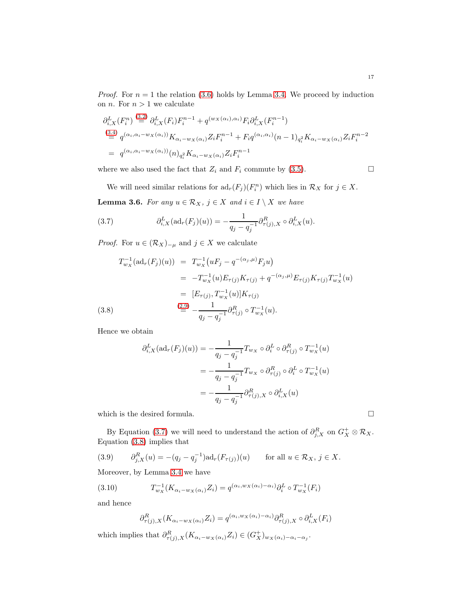*Proof.* For  $n = 1$  the relation [\(3.6\)](#page-15-3) holds by Lemma [3.4.](#page-15-1) We proceed by induction on *n*. For  $n > 1$  we calculate

$$
\partial_{i,X}^L(F_i^n) \stackrel{(3.2)}{=} \partial_{i,X}^L(F_i)F_i^{n-1} + q^{(w_X(\alpha_i), \alpha_i)}F_i\partial_{i,X}^L(F_i^{n-1})
$$
\n
$$
\stackrel{(3.4)}{=} q^{(\alpha_i, \alpha_i - w_X(\alpha_i))}K_{\alpha_i - w_X(\alpha_i)}Z_iF_i^{n-1} + F_iq^{(\alpha_i, \alpha_i)}(n-1)_{q_i^2}K_{\alpha_i - w_X(\alpha_i)}Z_iF_i^{n-2}
$$
\n
$$
= q^{(\alpha_i, \alpha_i - w_X(\alpha_i))}(n)_{q_i^2}K_{\alpha_i - w_X(\alpha_i)}Z_iF_i^{n-1}
$$

where we also used the fact that  $Z_i$  and  $F_i$  commute by [\(3.5\)](#page-15-6).

We will need similar relations for  $ad_r(F_j)(F_i^n)$  which lies in  $\mathcal{R}_X$  for  $j \in X$ .

<span id="page-16-0"></span>**Lemma 3.6.** For any  $u \in \mathcal{R}_X$ ,  $j \in X$  and  $i \in I \setminus X$  we have

<span id="page-16-1"></span>(3.7) 
$$
\partial_{i,X}^L(\text{ad}_r(F_j)(u)) = -\frac{1}{q_j - q_j^{-1}} \partial_{\tau(j),X}^R \circ \partial_{i,X}^L(u).
$$

*Proof.* For  $u \in (\mathcal{R}_X)_{-\mu}$  and  $j \in X$  we calculate

$$
T_{w_X}^{-1}(\text{ad}_r(F_j)(u)) = T_{w_X}^{-1}(uF_j - q^{-(\alpha_j,\mu)}F_ju)
$$
  
\n
$$
= -T_{w_X}^{-1}(u)E_{\tau(j)}K_{\tau(j)} + q^{-(\alpha_j,\mu)}E_{\tau(j)}K_{\tau(j)}T_{w_X}^{-1}(u)
$$
  
\n
$$
= [E_{\tau(j)}, T_{w_X}^{-1}(u)]K_{\tau(j)}
$$
  
\n(3.8) 
$$
\stackrel{(2.9)}{=} -\frac{1}{q_j - q_j^{-1}} \partial_{\tau(j)}^R \circ T_{w_X}^{-1}(u).
$$

<span id="page-16-2"></span>Hence we obtain

$$
\partial_{i,X}^L(\mathrm{ad}_r(F_j)(u)) = -\frac{1}{q_j - q_j^{-1}} T_{w_X} \circ \partial_i^L \circ \partial_{\tau(j)}^R \circ T_{w_X}^{-1}(u)
$$

$$
= -\frac{1}{q_j - q_j^{-1}} T_{w_X} \circ \partial_{\tau(j)}^R \circ \partial_i^L \circ T_{w_X}^{-1}(u)
$$

$$
= -\frac{1}{q_j - q_j^{-1}} \partial_{\tau(j),X}^R \circ \partial_{i,X}^L(u)
$$

which is the desired formula.  $\hfill \square$ 

By Equation [\(3.7\)](#page-16-1) we will need to understand the action of  $\partial_{j,X}^R$  on  $G_X^+ \otimes \mathcal{R}_X$ . Equation [\(3.8\)](#page-16-2) implies that

<span id="page-16-3"></span>(3.9) 
$$
\partial_{j,X}^R(u) = -(q_j - q_j^{-1}) \text{ad}_r(F_{\tau(j)})(u) \quad \text{for all } u \in \mathcal{R}_X, j \in X.
$$

Moreover, by Lemma [3.4](#page-15-1) we have

(3.10) 
$$
T_{w_X}^{-1}(K_{\alpha_i - w_X(\alpha_i)} Z_i) = q^{(\alpha_i, w_X(\alpha_i) - \alpha_i)} \partial_i^L \circ T_{w_X}^{-1}(F_i)
$$

and hence

$$
\partial^R_{\tau(j),X}(K_{\alpha_i-w_X(\alpha_i)}Z_i)=q^{(\alpha_i,w_X(\alpha_i)-\alpha_i)}\partial^R_{\tau(j),X}\circ \partial^L_{i,X}(F_i)
$$

which implies that  $\partial_{\tau(j),X}^R(K_{\alpha_i-w_X(\alpha_i)}Z_i) \in (G_X^+)_{w_X(\alpha_i)-\alpha_i-\alpha_j}$ .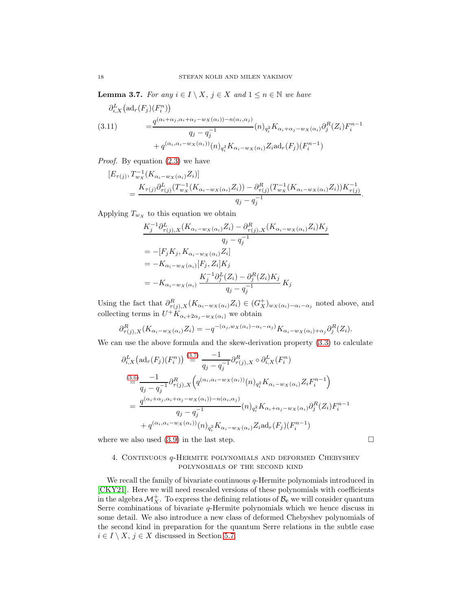<span id="page-17-1"></span>**Lemma 3.7.** For any  $i \in I \setminus X$ ,  $j \in X$  and  $1 \le n \in \mathbb{N}$  we have

<span id="page-17-2"></span>
$$
\partial_{i,X}^{L}(\mathrm{ad}_{r}(F_{j})(F_{i}^{n})) = \frac{q^{(\alpha_{i}+\alpha_{j},\alpha_{i}+\alpha_{j}-w_{X}(\alpha_{i}))-n(\alpha_{i},\alpha_{j})}}{q_{j}-q_{j}^{-1}}(n)_{q_{i}^{2}}K_{\alpha_{i}+\alpha_{j}-w_{X}(\alpha_{i})}\partial_{j}^{R}(Z_{i})F_{i}^{n-1} + q^{(\alpha_{i},\alpha_{i}-w_{X}(\alpha_{i}))}(n)_{q_{i}^{2}}K_{\alpha_{i}-w_{X}(\alpha_{i})}Z_{i}\mathrm{ad}_{r}(F_{j})(F_{i}^{n-1})
$$

Proof. By equation [\(2.3\)](#page-7-4) we have

$$
[E_{\tau(j)}, T_{w_X}^{-1}(K_{\alpha_i - w_X(\alpha_i)} Z_i)]
$$
  
= 
$$
\frac{K_{\tau(j)} \partial_{\tau(j)}^L (T_{w_X}^{-1}(K_{\alpha_i - w_X(\alpha_i)} Z_i)) - \partial_{\tau(j)}^R (T_{w_X}^{-1}(K_{\alpha_i - w_X(\alpha_i)} Z_i)) K_{\tau(j)}^{-1}}{q_j - q_j^{-1}}.
$$

Applying  $T_{w_X}$  to this equation we obtain

$$
K_{j}^{-1}\partial_{\tau(j),X}^{L}(K_{\alpha_{i}-w_{X}(\alpha_{i})}Z_{i}) - \partial_{\tau(j),X}^{R}(K_{\alpha_{i}-w_{X}(\alpha_{i})}Z_{i})K_{j}
$$
  
\n
$$
q_{j} - q_{j}^{-1}
$$
  
\n
$$
= -[F_{j}K_{j}, K_{\alpha_{i}-w_{X}(\alpha_{i})}Z_{i}]
$$
  
\n
$$
= -K_{\alpha_{i}-w_{X}(\alpha_{i})}[F_{j}, Z_{i}]K_{j}
$$
  
\n
$$
= -K_{\alpha_{i}-w_{X}(\alpha_{i})}\frac{K_{j}^{-1}\partial_{j}^{L}(Z_{i}) - \partial_{j}^{R}(Z_{i})K_{j}}{q_{j} - q_{j}^{-1}}K_{j}
$$

Using the fact that  $\partial_{\tau(j),X}^R (K_{\alpha_i-w_X(\alpha_i)} Z_i) \in (G_X^+)_{w_X(\alpha_i)-\alpha_i-\alpha_j}$  noted above, and collecting terms in  $U^+ K_{\alpha_i+2\alpha_j-w_X(\alpha_i)}$  we obtain

$$
\partial_{\tau(j),X}^R(K_{\alpha_i-w_X(\alpha_i)}Z_i) = -q^{-(\alpha_j,w_X(\alpha_i)-\alpha_i-\alpha_j)}K_{\alpha_i-w_X(\alpha_i)+\alpha_j}\partial_j^R(Z_i).
$$

We can use the above formula and the skew-derivation property  $(3.3)$  to calculate

$$
\partial_{i,X}^{L} (\mathrm{ad}_{r}(F_{j})(F_{i}^{n})) \stackrel{(3.7)}{=} \frac{-1}{q_{j} - q_{j}^{-1}} \partial_{\tau(j),X}^{R} \circ \partial_{i,X}^{L}(F_{i}^{n})
$$
\n
$$
\stackrel{(3.6)}{=} \frac{-1}{q_{j} - q_{j}^{-1}} \partial_{\tau(j),X}^{R} \left( q^{(\alpha_{i}, \alpha_{i} - w_{X}(\alpha_{i}))}(n)_{q_{i}^{2}} K_{\alpha_{i} - w_{X}(\alpha_{i})} Z_{i} F_{i}^{n-1} \right)
$$
\n
$$
= \frac{q^{(\alpha_{i} + \alpha_{j}, \alpha_{i} + \alpha_{j} - w_{X}(\alpha_{i})) - n(\alpha_{i}, \alpha_{j})}}{q_{j} - q_{j}^{-1}} (n)_{q_{i}^{2}} K_{\alpha_{i} + \alpha_{j} - w_{X}(\alpha_{i})} \partial_{j}^{R}(Z_{i}) F_{i}^{n-1}
$$
\n
$$
+ q^{(\alpha_{i}, \alpha_{i} - w_{X}(\alpha_{i}))}(n)_{q_{i}^{2}} K_{\alpha_{i} - w_{X}(\alpha_{i})} Z_{i} \mathrm{ad}_{r}(F_{j})(F_{i}^{n-1})
$$

<span id="page-17-0"></span>where we also used  $(3.9)$  in the last step.  $\Box$ 

## 4. Continuous q-Hermite polynomials and deformed Chebyshev polynomials of the second kind

We recall the family of bivariate continuous  $q$ -Hermite polynomials introduced in [\[CKY21\]](#page-35-4). Here we will need rescaled versions of these polynomials with coefficients in the algebra  $\mathcal{M}_X^+$ . To express the defining relations of  $\mathcal{B}_{\mathbf{c}}$  we will consider quantum Serre combinations of bivariate  $q$ -Hermite polynomials which we hence discuss in some detail. We also introduce a new class of deformed Chebyshev polynomials of the second kind in preparation for the quantum Serre relations in the subtle case  $i \in I \setminus X, j \in X$  discussed in Section [5.7.](#page-32-0)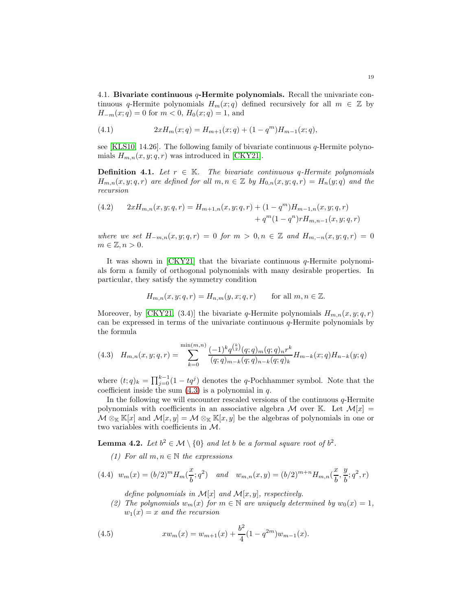<span id="page-18-0"></span>4.1. Bivariate continuous q-Hermite polynomials. Recall the univariate continuous q-Hermite polynomials  $H_m(x; q)$  defined recursively for all  $m \in \mathbb{Z}$  by  $H_{-m}(x;q) = 0$  for  $m < 0$ ,  $H_0(x;q) = 1$ , and

<span id="page-18-4"></span>(4.1) 
$$
2xH_m(x;q) = H_{m+1}(x;q) + (1-q^m)H_{m-1}(x;q),
$$

see [\[KLS10,](#page-36-9) 14.26]. The following family of bivariate continuous q-Hermite polynomials  $H_{m,n}(x, y; q, r)$  was introduced in [\[CKY21\]](#page-35-4).

**Definition 4.1.** Let  $r \in \mathbb{K}$ . The bivariate continuous q-Hermite polynomials  $H_{m,n}(x, y; q, r)$  are defined for all  $m, n \in \mathbb{Z}$  by  $H_{0,n}(x, y; q, r) = H_n(y; q)$  and the recursion

<span id="page-18-2"></span>(4.2) 
$$
2xH_{m,n}(x,y;q,r) = H_{m+1,n}(x,y;q,r) + (1-q^m)H_{m-1,n}(x,y;q,r) + q^m(1-q^n)rH_{m,n-1}(x,y;q,r)
$$

where we set  $H_{-m,n}(x,y;q,r) = 0$  for  $m > 0, n \in \mathbb{Z}$  and  $H_{m,-n}(x,y;q,r) = 0$  $m \in \mathbb{Z}, n > 0.$ 

It was shown in [\[CKY21\]](#page-35-4) that the bivariate continuous q-Hermite polynomials form a family of orthogonal polynomials with many desirable properties. In particular, they satisfy the symmetry condition

$$
H_{m,n}(x,y;q,r) = H_{n,m}(y,x;q,r) \quad \text{for all } m,n \in \mathbb{Z}.
$$

Moreover, by [\[CKY21,](#page-35-4) (3.4)] the bivariate q-Hermite polynomials  $H_{m,n}(x, y; q, r)$ can be expressed in terms of the univariate continuous  $q$ -Hermite polynomials by the formula

<span id="page-18-1"></span>
$$
(4.3) \quad H_{m,n}(x,y;q,r) = \sum_{k=0}^{\min(m,n)} \frac{(-1)^k q^{\binom{k}{2}} (q;q)_m (q;q)_n r^k}{(q;q)_{m-k} (q;q)_{n-k} (q;q)_k} H_{m-k}(x;q) H_{n-k}(y;q)
$$

where  $(t; q)_k = \prod_{j=0}^{k-1} (1 - tq^j)$  denotes the q-Pochhammer symbol. Note that the coefficient inside the sum  $(4.3)$  is a polynomial in q.

In the following we will encounter rescaled versions of the continuous  $q$ -Hermite polynomials with coefficients in an associative algebra M over K. Let  $\mathcal{M}[x] =$  $\mathcal{M} \otimes_{\mathbb{K}} \mathbb{K}[x]$  and  $\mathcal{M}[x, y] = \mathcal{M} \otimes_{\mathbb{K}} \mathbb{K}[x, y]$  be the algebras of polynomials in one or two variables with coefficients in M.

<span id="page-18-6"></span>**Lemma 4.2.** Let  $b^2 \in \mathcal{M} \setminus \{0\}$  and let b be a formal square root of  $b^2$ .

(1) For all  $m, n \in \mathbb{N}$  the expressions

<span id="page-18-3"></span>
$$
(4.4) \ w_m(x) = (b/2)^m H_m(\frac{x}{b}; q^2) \quad and \quad w_{m,n}(x, y) = (b/2)^{m+n} H_{m,n}(\frac{x}{b}; \frac{y}{b}; q^2, r)
$$

define polynomials in  $\mathcal{M}[x]$  and  $\mathcal{M}[x, y]$ , respectively.

(2) The polynomials  $w_m(x)$  for  $m \in \mathbb{N}$  are uniquely determined by  $w_0(x) = 1$ ,  $w_1(x) = x$  and the recursion

<span id="page-18-5"></span>(4.5) 
$$
x w_m(x) = w_{m+1}(x) + \frac{b^2}{4} (1 - q^{2m}) w_{m-1}(x).
$$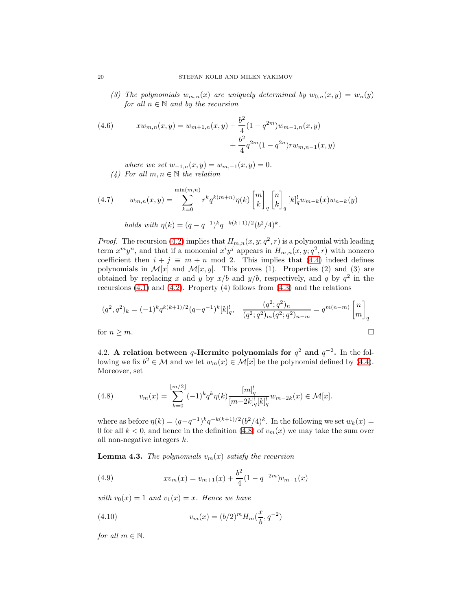(3) The polynomials  $w_{m,n}(x)$  are uniquely determined by  $w_{0,n}(x,y) = w_n(y)$ for all  $n \in \mathbb{N}$  and by the recursion

<span id="page-19-4"></span>(4.6) 
$$
x w_{m,n}(x, y) = w_{m+1,n}(x, y) + \frac{b^2}{4} (1 - q^{2m}) w_{m-1,n}(x, y) + \frac{b^2}{4} q^{2m} (1 - q^{2n}) r w_{m,n-1}(x, y)
$$

where we set  $w_{-1,n}(x, y) = w_{m,-1}(x, y) = 0.$ (4) For all  $m, n \in \mathbb{N}$  the relation

<span id="page-19-2"></span>(4.7) 
$$
w_{m,n}(x,y) = \sum_{k=0}^{\min(m,n)} r^k q^{k(m+n)} \eta(k) \begin{bmatrix} m \\ k \end{bmatrix}_q \begin{bmatrix} n \\ k \end{bmatrix}_q [k]_q^1 w_{m-k}(x) w_{n-k}(y)
$$
  
holds with  $\eta(k) = (q - q^{-1})^k q^{-k(k+1)/2} (b^2/4)^k$ .

*Proof.* The recursion [\(4.2\)](#page-18-2) implies that  $H_{m,n}(x, y; q^2, r)$  is a polynomial with leading term  $x^m y^n$ , and that if a monomial  $x^i y^j$  appears in  $H_{m,n}(x, y; q^2, r)$  with nonzero coefficient then  $i + j \equiv m + n \mod 2$ . This implies that [\(4.4\)](#page-18-3) indeed defines polynomials in  $\mathcal{M}[x]$  and  $\mathcal{M}[x, y]$ . This proves (1). Properties (2) and (3) are obtained by replacing x and y by  $x/b$  and  $y/b$ , respectively, and q by  $q<sup>2</sup>$  in the recursions  $(4.1)$  and  $(4.2)$ . Property  $(4)$  follows from  $(4.3)$  and the relations

$$
(q^2, q^2)_k = (-1)^k q^{k(k+1)/2} (q - q^{-1})^k [k]_q^!, \quad \frac{(q^2; q^2)_n}{(q^2; q^2)_m (q^2; q^2)_{n-m}} = q^{m(n-m)} \begin{bmatrix} n \\ m \end{bmatrix}_q
$$
  
for  $n \ge m$ .

4.2. A relation between q-Hermite polynomials for  $q^2$  and  $q^{-2}$ . In the following we fix  $b^2 \in \mathcal{M}$  and we let  $w_m(x) \in \mathcal{M}[x]$  be the polynomial defined by [\(4.4\)](#page-18-3). Moreover, set

<span id="page-19-0"></span>(4.8) 
$$
v_m(x) = \sum_{k=0}^{\lfloor m/2 \rfloor} (-1)^k q^k \eta(k) \frac{[m]_q^!}{[m-2k]_q^! [k]_q^!} w_{m-2k}(x) \in \mathcal{M}[x].
$$

where as before  $\eta(k) = (q - q^{-1})^k q^{-k(k+1)/2} (b^2/4)^k$ . In the following we set  $w_k(x) =$ 0 for all  $k < 0$ , and hence in the definition [\(4.8\)](#page-19-0) of  $v_m(x)$  we may take the sum over all non-negative integers k.

<span id="page-19-3"></span>**Lemma 4.3.** The polynomials  $v_m(x)$  satisfy the recursion

<span id="page-19-1"></span>(4.9) 
$$
x v_m(x) = v_{m+1}(x) + \frac{b^2}{4} (1 - q^{-2m}) v_{m-1}(x)
$$

with  $v_0(x) = 1$  and  $v_1(x) = x$ . Hence we have

(4.10) 
$$
v_m(x) = (b/2)^m H_m(\frac{x}{b}, q^{-2})
$$

for all  $m \in \mathbb{N}$ .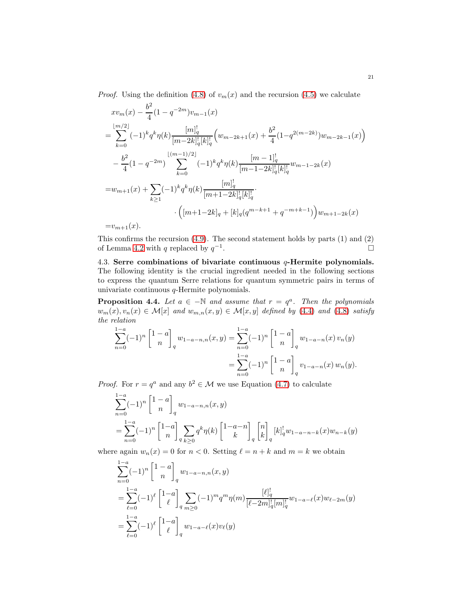*Proof.* Using the definition [\(4.8\)](#page-19-0) of  $v_m(x)$  and the recursion [\(4.5\)](#page-18-5) we calculate

$$
xv_m(x) - \frac{b^2}{4}(1 - q^{-2m})v_{m-1}(x)
$$
  
\n
$$
= \sum_{k=0}^{\lfloor m/2 \rfloor} (-1)^k q^k \eta(k) \frac{[m]_q^1}{[m-2k]_q^1[k]_q^1} \left( w_{m-2k+1}(x) + \frac{b^2}{4} (1 - q^{2(m-2k)})w_{m-2k-1}(x) \right)
$$
  
\n
$$
- \frac{b^2}{4} (1 - q^{-2m}) \sum_{k=0}^{\lfloor (m-1)/2 \rfloor} (-1)^k q^k \eta(k) \frac{[m-1]_q^1}{[m-1-2k]_q^1[k]_q^1} w_{m-1-2k}(x)
$$
  
\n
$$
= w_{m+1}(x) + \sum_{k \ge 1} (-1)^k q^k \eta(k) \frac{[m]_q^1}{[m+1-2k]_q^1[k]_q^1} \cdot \left( [m+1-2k]_q + [k]_q (q^{m-k+1} + q^{-m+k-1}) \right) w_{m+1-2k}(x)
$$

 $=v_{m+1}(x)$ .

This confirms the recursion  $(4.9)$ . The second statement holds by parts  $(1)$  and  $(2)$ of Lemma [4.2](#page-18-6) with q replaced by  $q^{-1}$ .

<span id="page-20-1"></span>4.3. Serre combinations of bivariate continuous  $q$ -Hermite polynomials. The following identity is the crucial ingredient needed in the following sections to express the quantum Serre relations for quantum symmetric pairs in terms of univariate continuous q-Hermite polynomials.

<span id="page-20-0"></span>**Proposition 4.4.** Let  $a \in -\mathbb{N}$  and assume that  $r = q^a$ . Then the polynomials  $w_m(x), v_n(x) \in \mathcal{M}[x]$  and  $w_{m,n}(x, y) \in \mathcal{M}[x, y]$  defined by [\(4.4\)](#page-18-3) and [\(4.8\)](#page-19-0) satisfy the relation

$$
\sum_{n=0}^{1-a} (-1)^n \begin{bmatrix} 1-a \\ n \end{bmatrix}_q w_{1-a-n,n}(x,y) = \sum_{n=0}^{1-a} (-1)^n \begin{bmatrix} 1-a \\ n \end{bmatrix}_q w_{1-a-n}(x) w_n(y)
$$

$$
= \sum_{n=0}^{1-a} (-1)^n \begin{bmatrix} 1-a \\ n \end{bmatrix}_q v_{1-a-n}(x) w_n(y).
$$

*Proof.* For  $r = q^a$  and any  $b^2 \in \mathcal{M}$  we use Equation [\(4.7\)](#page-19-2) to calculate

$$
\sum_{n=0}^{1-a} (-1)^n \begin{bmatrix} 1-a \\ n \end{bmatrix}_q w_{1-a-n,n}(x,y)
$$
  
= 
$$
\sum_{n=0}^{1-a} (-1)^n \begin{bmatrix} 1-a \\ n \end{bmatrix}_q \sum_{k\geq 0} q^k \eta(k) \begin{bmatrix} 1-a-n \\ k \end{bmatrix}_q \begin{bmatrix} n \\ k \end{bmatrix}_q [k]_q^1 w_{1-a-n-k}(x) w_{n-k}(y)
$$

where again  $w_n(x) = 0$  for  $n < 0$ . Setting  $\ell = n + k$  and  $m = k$  we obtain

$$
\sum_{n=0}^{1-a} (-1)^n \begin{bmatrix} 1-a \\ n \end{bmatrix}_q w_{1-a-n,n}(x,y)
$$
  
= 
$$
\sum_{\ell=0}^{1-a} (-1)^{\ell} \begin{bmatrix} 1-a \\ \ell \end{bmatrix}_q \sum_{m\geq 0} (-1)^m q^m \eta(m) \frac{[\ell]_q^!}{[\ell-2m]_q^! [m]_q^!} w_{1-a-\ell}(x) w_{\ell-2m}(y)
$$
  
= 
$$
\sum_{\ell=0}^{1-a} (-1)^{\ell} \begin{bmatrix} 1-a \\ \ell \end{bmatrix}_q w_{1-a-\ell}(x) v_{\ell}(y)
$$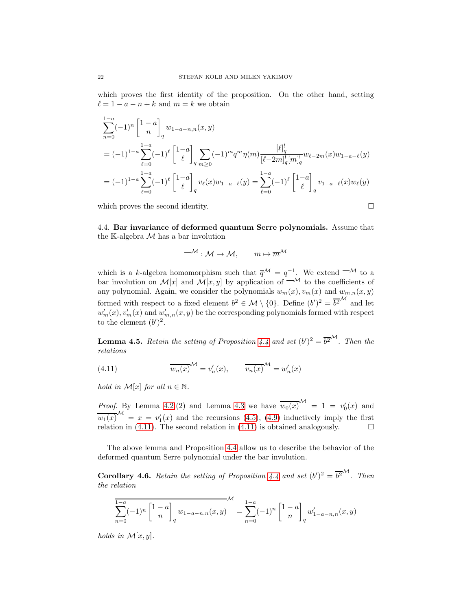which proves the first identity of the proposition. On the other hand, setting  $\ell = 1 - a - n + k$  and  $m = k$  we obtain

$$
\sum_{n=0}^{1-a} (-1)^n \begin{bmatrix} 1-a \\ n \end{bmatrix}_q w_{1-a-n,n}(x,y)
$$
  
=  $(-1)^{1-a} \sum_{\ell=0}^{1-a} (-1)^{\ell} \begin{bmatrix} 1-a \\ \ell \end{bmatrix}_q \sum_{m\geq 0} (-1)^m q^m \eta(m) \frac{[\ell]_q^!}{[\ell-2m]_q^! [m]_q^!} w_{\ell-2m}(x) w_{1-a-\ell}(y)$   
=  $(-1)^{1-a} \sum_{\ell=0}^{1-a} (-1)^{\ell} \begin{bmatrix} 1-a \\ \ell \end{bmatrix}_q v_{\ell}(x) w_{1-a-\ell}(y) = \sum_{\ell=0}^{1-a} (-1)^{\ell} \begin{bmatrix} 1-a \\ \ell \end{bmatrix}_q v_{1-a-\ell}(x) w_{\ell}(y)$ 

which proves the second identity.  $\Box$ 

4.4. Bar invariance of deformed quantum Serre polynomials. Assume that the K-algebra  ${\mathcal M}$  has a bar involution

$$
-\mathcal{M} : \mathcal{M} \to \mathcal{M}, \qquad m \mapsto \overline{m}^{\mathcal{M}}
$$

which is a k-algebra homomorphism such that  $\overline{q}^{\mathcal{M}} = q^{-1}$ . We extend  $-\mathcal{M}$  to a bar involution on  $\mathcal{M}[x]$  and  $\mathcal{M}[x, y]$  by application of  $\overline{\mathcal{M}}$  to the coefficients of any polynomial. Again, we consider the polynomials  $w_m(x), v_m(x)$  and  $w_{m,n}(x, y)$ formed with respect to a fixed element  $b^2 \in \mathcal{M} \setminus \{0\}$ . Define  $(b')^2 = \overline{b^2}^{\mathcal{M}}$  and let  $w'_m(x), v'_m(x)$  and  $w'_{m,n}(x, y)$  be the corresponding polynomials formed with respect to the element  $(b')^2$ .

<span id="page-21-1"></span>**Lemma 4.5.** Retain the setting of Proposition [4.4](#page-20-0) and set  $(b')^2 = \overline{b^2}^{\mathcal{M}}$ . Then the relations

<span id="page-21-0"></span>(4.11) 
$$
\overline{w_n(x)}^{\mathcal{M}} = v'_n(x), \qquad \overline{v_n(x)}^{\mathcal{M}} = w'_n(x)
$$

hold in  $\mathcal{M}[x]$  for all  $n \in \mathbb{N}$ .

*Proof.* By Lemma [4.2.](#page-18-6)(2) and Lemma [4.3](#page-19-3) we have  $\overline{w_0(x)}^{\mathcal{M}} = 1 = v'_0(x)$  and  $\overline{w_1(x)}^{\mathcal{M}} = x = v_1'(x)$  and the recursions [\(4.5\)](#page-18-5), [\(4.9\)](#page-19-1) inductively imply the first relation in [\(4.11\)](#page-21-0). The second relation in (4.11) is obtained analogously.  $\square$ 

The above lemma and Proposition [4.4](#page-20-0) allow us to describe the behavior of the deformed quantum Serre polynomial under the bar involution.

<span id="page-21-2"></span>**Corollary 4.6.** Retain the setting of Proposition [4.4](#page-20-0) and set  $(b')^2 = \overline{b^2}^{\mathcal{M}}$ . Then the relation

$$
\sum_{n=0}^{1-a} (-1)^n \begin{bmatrix} 1-a \\ n \end{bmatrix}_q w_{1-a-n,n}(x,y) = \sum_{n=0}^{1-a} (-1)^n \begin{bmatrix} 1-a \\ n \end{bmatrix}_q w'_{1-a-n,n}(x,y)
$$

holds in  $\mathcal{M}[x, y]$ .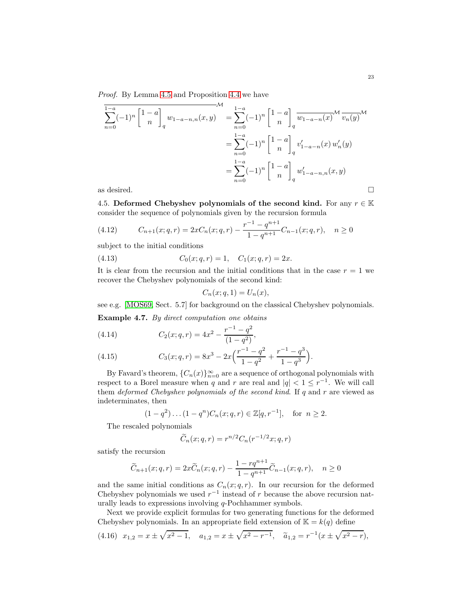Proof. By Lemma [4.5](#page-21-1) and Proposition [4.4](#page-20-0) we have

$$
\sum_{n=0}^{1-a} (-1)^n \begin{bmatrix} 1-a \\ n \end{bmatrix}_q w_{1-a-n,n}(x,y) = \sum_{n=0}^{1-a} (-1)^n \begin{bmatrix} 1-a \\ n \end{bmatrix}_q \overline{w_{1-a-n}(x)}^{\mathcal{M}} \overline{v_n(y)}^{\mathcal{M}}
$$

$$
= \sum_{n=0}^{1-a} (-1)^n \begin{bmatrix} 1-a \\ n \end{bmatrix}_q v'_{1-a-n}(x) w'_n(y)
$$

$$
= \sum_{n=0}^{1-a} (-1)^n \begin{bmatrix} 1-a \\ n \end{bmatrix}_q w'_{1-a-n,n}(x,y)
$$
as desired.

<span id="page-22-0"></span>

4.5. Deformed Chebyshev polynomials of the second kind. For any  $r \in \mathbb{K}$ consider the sequence of polynomials given by the recursion formula

<span id="page-22-1"></span>(4.12) 
$$
C_{n+1}(x;q,r) = 2xC_n(x;q,r) - \frac{r^{-1} - q^{n+1}}{1 - q^{n+1}}C_{n-1}(x;q,r), \quad n \ge 0
$$

subject to the initial conditions

(4.13) 
$$
C_0(x;q,r) = 1, \quad C_1(x;q,r) = 2x.
$$

It is clear from the recursion and the initial conditions that in the case  $r = 1$  we recover the Chebyshev polynomials of the second kind:

<span id="page-22-2"></span>
$$
C_n(x;q,1) = U_n(x),
$$

see e.g. [\[MOS69,](#page-36-15) Sect. 5.7] for background on the classical Chebyshev polynomials.

Example 4.7. By direct computation one obtains

(4.14) 
$$
C_2(x;q,r) = 4x^2 - \frac{r^{-1} - q^2}{(1 - q^2)},
$$

(4.15) 
$$
C_3(x;q,r) = 8x^3 - 2x\left(\frac{r^{-1} - q^2}{1 - q^2} + \frac{r^{-1} - q^3}{1 - q^3}\right).
$$

By Favard's theorem,  ${C_n(x)}_{n=0}^{\infty}$  are a sequence of orthogonal polynomials with respect to a Borel measure when q and r are real and  $|q| < 1 \le r^{-1}$ . We will call them deformed Chebyshev polynomials of the second kind. If  $q$  and  $r$  are viewed as indeterminates, then

$$
(1 - q^2) \dots (1 - q^n)C_n(x; q, r) \in \mathbb{Z}[q, r^{-1}],
$$
 for  $n \ge 2$ .

The rescaled polynomials

$$
\widetilde{C}_n(x;q,r) = r^{n/2} C_n(r^{-1/2}x;q,r)
$$

satisfy the recursion

$$
\widetilde{C}_{n+1}(x;q,r) = 2x\widetilde{C}_n(x;q,r) - \frac{1 - rq^{n+1}}{1 - q^{n+1}}\widetilde{C}_{n-1}(x;q,r), \quad n \ge 0
$$

and the same initial conditions as  $C_n(x; q, r)$ . In our recursion for the deformed Chebyshev polynomials we used  $r^{-1}$  instead of r because the above recursion naturally leads to expressions involving q-Pochhammer symbols.

Next we provide explicit formulas for two generating functions for the deformed Chebyshev polynomials. In an appropriate field extension of  $K = k(q)$  define

<span id="page-22-3"></span>
$$
(4.16) \ \ x_{1,2} = x \pm \sqrt{x^2 - 1}, \quad a_{1,2} = x \pm \sqrt{x^2 - r^{-1}}, \quad \tilde{a}_{1,2} = r^{-1}(x \pm \sqrt{x^2 - r}),
$$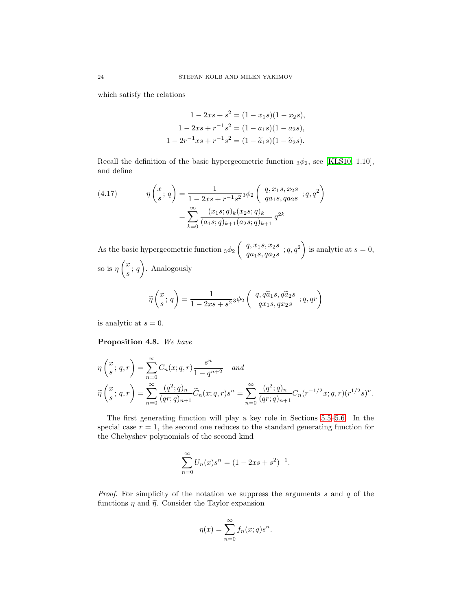which satisfy the relations

$$
1 - 2xs + s2 = (1 - x1s)(1 - x2s),
$$
  
\n
$$
1 - 2xs + r-1s2 = (1 - a1s)(1 - a2s),
$$
  
\n
$$
1 - 2r-1xs + r-1s2 = (1 - \tilde{a}1s)(1 - \tilde{a}2s).
$$

Recall the definition of the basic hypergeometric function  $_3\phi_2$ , see [\[KLS10,](#page-36-9) 1.10], and define

<span id="page-23-1"></span>(4.17) 
$$
\eta \begin{pmatrix} x \\ s \end{pmatrix} = \frac{1}{1 - 2xs + r^{-1}s^2} \phi_2 \begin{pmatrix} q, x_1s, x_2s \\ qa_1s, qa_2s \\ qa_1s, qa_2s \end{pmatrix} = \sum_{k=0}^{\infty} \frac{(x_1s; q)_k (x_2s; q)_k}{(a_1s; q)_{k+1} (a_2s; q)_{k+1}} q^{2k}
$$

As the basic hypergeometric function  $_3\phi_2$  $\int q, x_1s, x_2s$  $\left.\begin{array}{c} q,x_1s,x_2s\\q a_1s, q a_2s\end{array};q,q^2\right)$ is analytic at  $s = 0$ , so is  $\eta$  $\sqrt{x}$  $\frac{a}{s}$ ; q  $\setminus$ . Analogously  $\widetilde{\eta}$  $\sqrt{x}$  $\frac{x}{s}$ ; q  $\setminus$  $=\frac{1}{1-\Omega}$  $\frac{1}{1-2xs+s^2}$  3 $\phi_2$  $\left(\begin{array}{c} q, q \widetilde{a}_1 s, q \widetilde{a}_2 s\\ q x_1 s, q x_2 s \end{array}; q, qr\right)$ 

is analytic at  $s = 0$ .

<span id="page-23-0"></span>Proposition 4.8. We have

$$
\eta\left(\frac{x}{s};q,r\right) = \sum_{n=0}^{\infty} C_n(x;q,r) \frac{s^n}{1-q^{n+2}} \quad and
$$
  

$$
\widetilde{\eta}\left(\frac{x}{s};q,r\right) = \sum_{n=0}^{\infty} \frac{(q^2;q)_n}{(qr;q)_{n+1}} \widetilde{C}_n(x;q,r) s^n = \sum_{n=0}^{\infty} \frac{(q^2;q)_n}{(qr;q)_{n+1}} C_n(r^{-1/2}x;q,r) (r^{1/2}s)^n.
$$

The first generating function will play a key role in Sections [5.5–](#page-29-0)[5.6.](#page-31-0) In the special case  $r = 1$ , the second one reduces to the standard generating function for the Chebyshev polynomials of the second kind

$$
\sum_{n=0}^{\infty} U_n(x)s^n = (1 - 2xs + s^2)^{-1}.
$$

*Proof.* For simplicity of the notation we suppress the arguments s and q of the functions  $\eta$  and  $\tilde{\eta}$ . Consider the Taylor expansion

$$
\eta(x) = \sum_{n=0}^{\infty} f_n(x; q) s^n.
$$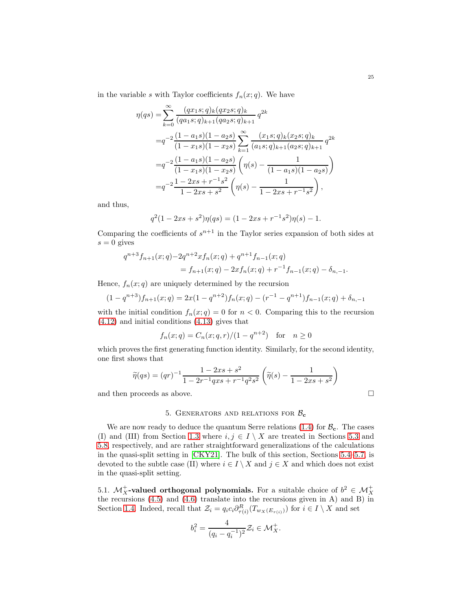in the variable s with Taylor coefficients  $f_n(x; q)$ . We have

$$
\eta(qs) = \sum_{k=0}^{\infty} \frac{(qx_1s; q)_k (qx_2s; q)_k}{(qa_1s; q)_{k+1} (qa_2s; q)_{k+1}} q^{2k}
$$
  
\n
$$
= q^{-2} \frac{(1 - a_1s)(1 - a_2s)}{(1 - x_1s)(1 - x_2s)} \sum_{k=1}^{\infty} \frac{(x_1s; q)_k (x_2s; q)_k}{(a_1s; q)_{k+1} (a_2s; q)_{k+1}} q^{2k}
$$
  
\n
$$
= q^{-2} \frac{(1 - a_1s)(1 - a_2s)}{(1 - x_1s)(1 - x_2s)} \left( \eta(s) - \frac{1}{(1 - a_1s)(1 - a_2s)} \right)
$$
  
\n
$$
= q^{-2} \frac{1 - 2xs + r^{-1}s^2}{1 - 2xs + s^2} \left( \eta(s) - \frac{1}{1 - 2xs + r^{-1}s^2} \right),
$$

and thus,

$$
q^{2}(1 - 2xs + s^{2})\eta(qs) = (1 - 2xs + r^{-1}s^{2})\eta(s) - 1.
$$

Comparing the coefficients of  $s^{n+1}$  in the Taylor series expansion of both sides at  $s = 0$  gives

$$
q^{n+3}f_{n+1}(x;q)-2q^{n+2}xf_n(x;q)+q^{n+1}f_{n-1}(x;q)
$$
  
=  $f_{n+1}(x;q)-2xf_n(x;q)+r^{-1}f_{n-1}(x;q)-\delta_{n,-1}.$ 

Hence,  $f_n(x; q)$  are uniquely determined by the recursion

$$
(1 - q^{n+3})f_{n+1}(x;q) = 2x(1 - q^{n+2})f_n(x;q) - (r^{-1} - q^{n+1})f_{n-1}(x;q) + \delta_{n,-1}
$$

with the initial condition  $f_n(x; q) = 0$  for  $n < 0$ . Comparing this to the recursion [\(4.12\)](#page-22-1) and initial conditions [\(4.13\)](#page-22-2) gives that

$$
f_n(x; q) = C_n(x; q, r)/(1 - q^{n+2})
$$
 for  $n \ge 0$ 

which proves the first generating function identity. Similarly, for the second identity, one first shows that

$$
\widetilde{\eta}(qs) = (qr)^{-1} \frac{1 - 2xs + s^2}{1 - 2r^{-1}qxs + r^{-1}q^2s^2} \left( \widetilde{\eta}(s) - \frac{1}{1 - 2xs + s^2} \right)
$$

<span id="page-24-1"></span>and then proceeds as above.  $\hfill \square$ 

### 5. GENERATORS AND RELATIONS FOR  $B_c$

We are now ready to deduce the quantum Serre relations [\(1.4\)](#page-2-0) for  $\mathcal{B}_{c}$ . The cases (I) and (III) from Section [1.3](#page-2-1) where  $i, j \in I \setminus X$  are treated in Sections [5.3](#page-26-1) and [5.8,](#page-34-0) respectively, and are rather straightforward generalizations of the calculations in the quasi-split setting in [\[CKY21\]](#page-35-4). The bulk of this section, Sections [5.4–](#page-27-0)[5.7,](#page-32-0) is devoted to the subtle case (II) where  $i \in I \setminus X$  and  $j \in X$  and which does not exist in the quasi-split setting.

<span id="page-24-0"></span>5.1.  $\mathcal{M}_X^+$ **-valued orthogonal polynomials.** For a suitable choice of  $b^2 \in \mathcal{M}_X^+$  the recursions [\(4.5\)](#page-18-5) and [\(4.6\)](#page-19-4) translate into the recursions given in A) and B) in Section [1.4.](#page-3-0) Indeed, recall that  $\mathcal{Z}_i = q_i c_i \partial_{\tau(i)}^R(T_{w_X(E_{\tau(i)})})$  for  $i \in I \setminus X$  and set

$$
b_i^2 = \frac{4}{(q_i - q_i^{-1})^2} \mathcal{Z}_i \in \mathcal{M}_X^+.
$$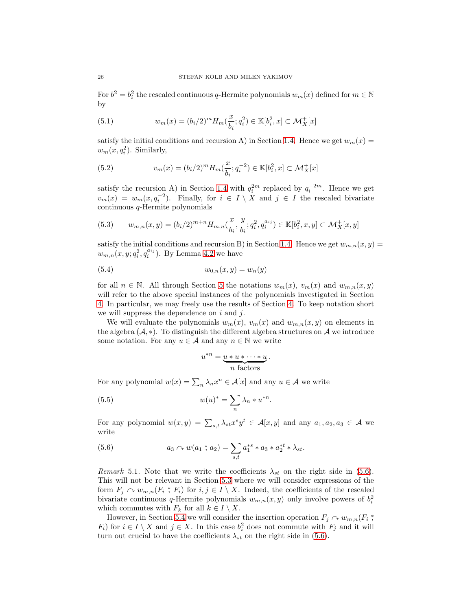For  $b^2 = b_i^2$  the rescaled continuous q-Hermite polynomials  $w_m(x)$  defined for  $m \in \mathbb{N}$ by

<span id="page-25-1"></span>(5.1) 
$$
w_m(x) = (b_i/2)^m H_m(\frac{x}{b_i}; q_i^2) \in \mathbb{K}[b_i^2, x] \subset \mathcal{M}_X^+[x]
$$

satisfy the initial conditions and recursion A) in Section [1.4.](#page-3-0) Hence we get  $w_m(x) =$  $w_m(x, q_i^2)$ . Similarly,

(5.2) 
$$
v_m(x) = (b_i/2)^m H_m(\frac{x}{b_i}; q_i^{-2}) \in \mathbb{K}[b_i^2, x] \subset \mathcal{M}_X^+[x]
$$

satisfy the recursion A) in Section [1.4](#page-3-0) with  $q_i^{2m}$  replaced by  $q_i^{-2m}$ . Hence we get  $v_m(x) = w_m(x, q_i^{-2})$ . Finally, for  $i \in I \setminus X$  and  $j \in I$  the rescaled bivariate continuous q-Hermite polynomials

<span id="page-25-3"></span>
$$
(5.3) \t w_{m,n}(x,y) = (b_i/2)^{m+n} H_{m,n}(\frac{x}{b_i}, \frac{y}{b_i}; q_i^2, q_i^{a_{ij}}) \in \mathbb{K}[b_i^2, x, y] \subset \mathcal{M}_X^+[x, y]
$$

satisfy the initial conditions and recursion B) in Section [1.4.](#page-3-0) Hence we get  $w_{m,n}(x, y) =$  $w_{m,n}(x, y; q_i^2, q_i^{a_{ij}})$ . By Lemma [4.2](#page-18-6) we have

<span id="page-25-4"></span>(5.4) 
$$
w_{0,n}(x,y) = w_n(y)
$$

for all  $n \in \mathbb{N}$ . All through Section [5](#page-24-1) the notations  $w_m(x)$ ,  $v_m(x)$  and  $w_{m,n}(x, y)$ will refer to the above special instances of the polynomials investigated in Section [4.](#page-17-0) In particular, we may freely use the results of Section [4.](#page-17-0) To keep notation short we will suppress the dependence on  $i$  and  $j$ .

We will evaluate the polynomials  $w_m(x)$ ,  $v_m(x)$  and  $w_{m,n}(x, y)$  on elements in the algebra  $(\mathcal{A}, *)$ . To distinguish the different algebra structures on  $\mathcal{A}$  we introduce some notation. For any  $u \in \mathcal{A}$  and any  $n \in \mathbb{N}$  we write

$$
u^{*n} = \underbrace{u * u * \cdots * u}_{n \text{ factors}}.
$$

For any polynomial  $w(x) = \sum_n \lambda_n x^n \in \mathcal{A}[x]$  and any  $u \in \mathcal{A}$  we write

<span id="page-25-2"></span>(5.5) 
$$
w(u)^* = \sum_n \lambda_n * u^{*n}.
$$

For any polynomial  $w(x, y) = \sum_{s,t} \lambda_{st} x^s y^t \in \mathcal{A}[x, y]$  and any  $a_1, a_2, a_3 \in \mathcal{A}$  we write

<span id="page-25-0"></span>(5.6) 
$$
a_3 \curvearrowright w(a_1 \stackrel{*}{,} a_2) = \sum_{s,t} a_1^{*s} * a_3 * a_2^{*t} * \lambda_{st}.
$$

<span id="page-25-5"></span>Remark 5.1. Note that we write the coefficients  $\lambda_{st}$  on the right side in [\(5.6\)](#page-25-0). This will not be relevant in Section [5.3](#page-26-1) where we will consider expressions of the form  $F_j \curvearrowright w_{m,n}(F_i * F_i)$  for  $i, j \in I \setminus X$ . Indeed, the coefficients of the rescaled bivariate continuous q-Hermite polynomials  $w_{m,n}(x, y)$  only involve powers of  $b_i^2$ which commutes with  $F_k$  for all  $k \in I \setminus X$ .

However, in Section [5.4](#page-27-0) we will consider the insertion operation  $F_j \sim w_{m,n}(F_i; \mathcal{F})$  $F_i$ ) for  $i \in I \setminus X$  and  $j \in X$ . In this case  $b_i^2$  does not commute with  $F_j$  and it will turn out crucial to have the coefficients  $\lambda_{st}$  on the right side in [\(5.6\)](#page-25-0).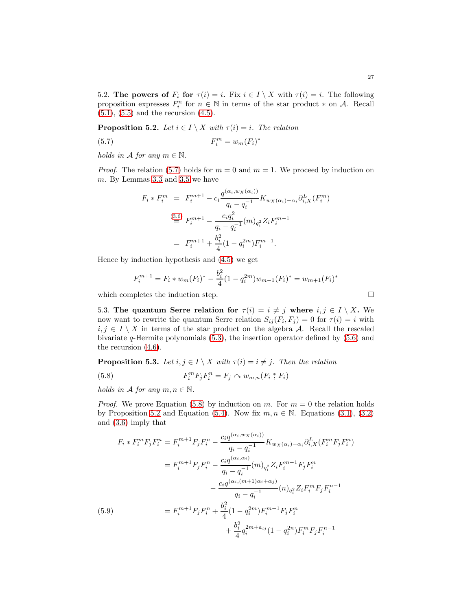5.2. The powers of  $F_i$  for  $\tau(i) = i$ . Fix  $i \in I \setminus X$  with  $\tau(i) = i$ . The following proposition expresses  $F_i^n$  for  $n \in \mathbb{N}$  in terms of the star product  $*$  on A. Recall  $(5.1), (5.5)$  $(5.1), (5.5)$  $(5.1), (5.5)$  and the recursion  $(4.5).$ 

<span id="page-26-4"></span>**Proposition 5.2.** Let  $i \in I \setminus X$  with  $\tau(i) = i$ . The relation

<span id="page-26-2"></span>
$$
F_i^m = w_m(F_i)^*
$$

holds in A for any  $m \in \mathbb{N}$ .

*Proof.* The relation [\(5.7\)](#page-26-2) holds for  $m = 0$  and  $m = 1$ . We proceed by induction on m. By Lemmas [3.3](#page-14-2) and [3.5](#page-15-2) we have

$$
F_i * F_i^m = F_i^{m+1} - c_i \frac{q^{(\alpha_i, w_X(\alpha_i))}}{q_i - q_i^{-1}} K_{w_X(\alpha_i) - \alpha_i} \partial_{i, X}^L(F_i^m)
$$
  
\n
$$
\stackrel{(3.6)}{=} F_i^{m+1} - \frac{c_i q_i^2}{q_i - q_i^{-1}} (m)_{q_i^2} Z_i F_i^{m-1}
$$
  
\n
$$
= F_i^{m+1} + \frac{b_i^2}{4} (1 - q_i^{2m}) F_i^{m-1}.
$$

Hence by induction hypothesis and [\(4.5\)](#page-18-5) we get

$$
F_i^{m+1} = F_i * w_m(F_i)^* - \frac{b_i^2}{4} (1 - q_i^{2m}) w_{m-1}(F_i)^* = w_{m+1}(F_i)^*
$$

<span id="page-26-1"></span>which completes the induction step.  $\Box$ 

5.3. The quantum Serre relation for  $\tau(i) = i \neq j$  where  $i, j \in I \setminus X$ . We now want to rewrite the quantum Serre relation  $S_{ij}(F_i, F_j) = 0$  for  $\tau(i) = i$  with  $i, j \in I \setminus X$  in terms of the star product on the algebra A. Recall the rescaled bivariate q-Hermite polynomials  $(5.3)$ , the insertion operator defined by  $(5.6)$  and the recursion [\(4.6\)](#page-19-4).

<span id="page-26-0"></span>**Proposition 5.3.** Let  $i, j \in I \setminus X$  with  $\tau(i) = i \neq j$ . Then the relation

<span id="page-26-3"></span>(5.8) 
$$
F_i^m F_j F_i^n = F_j \curvearrowright w_{m,n}(F_i * F_i)
$$

holds in A for any  $m, n \in \mathbb{N}$ .

*Proof.* We prove Equation [\(5.8\)](#page-26-3) by induction on m. For  $m = 0$  the relation holds by Proposition [5.2](#page-26-4) and Equation [\(5.4\)](#page-25-4). Now fix  $m, n \in \mathbb{N}$ . Equations [\(3.1\)](#page-14-3), [\(3.2\)](#page-15-4) and [\(3.6\)](#page-15-3) imply that

<span id="page-26-5"></span>
$$
F_i * F_i^m F_j F_i^n = F_i^{m+1} F_j F_i^n - \frac{c_i q^{(\alpha_i, w_X(\alpha_i))}}{q_i - q_i^{-1}} K_{w_X(\alpha_i) - \alpha_i} \partial_{i, X}^L (F_i^m F_j F_i^n)
$$
  

$$
= F_i^{m+1} F_j F_i^n - \frac{c_i q^{(\alpha_i, \alpha_i)}}{q_i - q_i^{-1}} (m)_{q_i^2} Z_i F_i^{m-1} F_j F_i^n
$$
  

$$
- \frac{c_i q^{(\alpha_i, (m+1)\alpha_i + \alpha_j)}}{q_i - q_i^{-1}} (n)_{q_i^2} Z_i F_i^m F_j F_i^{n-1}
$$
  
(5.9)  

$$
= F_i^{m+1} F_j F_i^n + \frac{b_i^2}{4} (1 - q_i^{2m}) F_i^{m-1} F_j F_i^n
$$
  

$$
+ \frac{b_i^2}{4} q_i^{2m + a_{ij}} (1 - q_i^{2n}) F_i^m F_j F_i^{n-1}
$$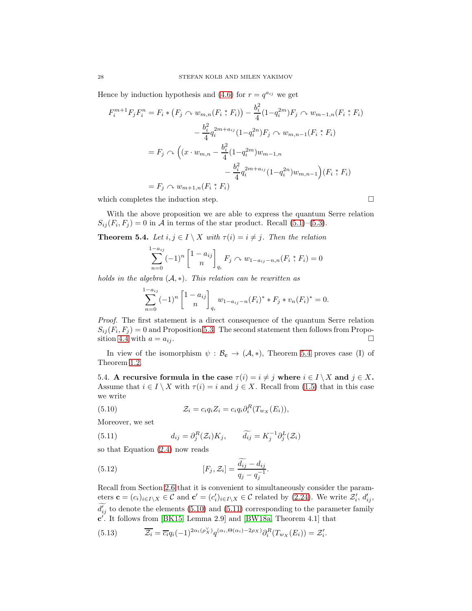Hence by induction hypothesis and [\(4.6\)](#page-19-4) for  $r = q^{a_{ij}}$  we get

$$
F_i^{m+1}F_jF_i^n = F_i * (F_j \cap w_{m,n}(F_i * F_i)) - \frac{b_i^2}{4}(1 - q_i^{2m})F_j \cap w_{m-1,n}(F_i * F_i)
$$
  

$$
- \frac{b_i^2}{4}q_i^{2m + a_{ij}}(1 - q_i^{2n})F_j \cap w_{m,n-1}(F_i * F_i)
$$
  

$$
= F_j \cap \left((x \cdot w_{m,n} - \frac{b_i^2}{4}(1 - q_i^{2m})w_{m-1,n} - \frac{b_i^2}{4}q_i^{2m + a_{ij}}(1 - q_i^{2n})w_{m,n-1}\right)(F_i * F_i)
$$
  

$$
= F_j \cap w_{m+1,n}(F_i * F_i)
$$

which completes the induction step.

With the above proposition we are able to express the quantum Serre relation  $S_{ij}(F_i, F_j) = 0$  in A in terms of the star product. Recall [\(5.1\)](#page-25-1)–[\(5.3\)](#page-25-3).

<span id="page-27-1"></span>**Theorem 5.4.** Let  $i, j \in I \setminus X$  with  $\tau(i) = i \neq j$ . Then the relation

$$
\sum_{n=0}^{1-a_{ij}} (-1)^n \begin{bmatrix} 1 - a_{ij} \\ n \end{bmatrix}_{q_i} F_j \sim w_{1-a_{ij}-n,n}(F_i * F_i) = 0
$$

holds in the algebra  $(A, *)$ . This relation can be rewritten as

$$
\sum_{n=0}^{1-a_{ij}} (-1)^n \begin{bmatrix} 1 - a_{ij} \\ n \end{bmatrix}_{q_i} w_{1-a_{ij}-n}(F_i)^* * F_j * v_n(F_i)^* = 0.
$$

Proof. The first statement is a direct consequence of the quantum Serre relation  $S_{ij}(F_i, F_j) = 0$  and Proposition [5.3.](#page-26-0) The second statement then follows from Propo-sition [4.4](#page-20-0) with  $a = a_{ij}$ .

In view of the isomorphism  $\psi : \mathcal{B}_{c} \to (\mathcal{A}, *)$ , Theorem [5.4](#page-27-1) proves case (I) of Theorem [1.2.](#page-4-2)

<span id="page-27-0"></span>5.4. A recursive formula in the case  $\tau(i) = i \neq j$  where  $i \in I \setminus X$  and  $j \in X$ . Assume that  $i \in I \setminus X$  with  $\tau(i) = i$  and  $j \in X$ . Recall from [\(1.5\)](#page-3-1) that in this case we write

<span id="page-27-2"></span>(5.10) 
$$
\mathcal{Z}_i = c_i q_i Z_i = c_i q_i \partial_i^R (T_{w_X}(E_i)),
$$

Moreover, we set

<span id="page-27-3"></span>(5.11) 
$$
d_{ij} = \partial_j^R(\mathcal{Z}_i) K_j, \qquad \widetilde{d_{ij}} = K_j^{-1} \partial_j^L(\mathcal{Z}_i)
$$

so that Equation [\(2.4\)](#page-7-7) now reads

<span id="page-27-4"></span>(5.12) 
$$
[F_j, \mathcal{Z}_i] = \frac{d_{ij} - d_{ij}}{q_j - q_j^{-1}}.
$$

Recall from Section [2.6](#page-13-0) that it is convenient to simultaneously consider the parameters  $\mathbf{c} = (c_i)_{i \in I \setminus X} \in \mathcal{C}$  and  $\mathbf{c}' = (c'_i)_{i \in I \setminus X} \in \mathcal{C}$  related by [\(2.24\)](#page-13-3). We write  $\mathcal{Z}'_i$ ,  $d'_{ij}$ ,  $d'_{ij}$  to denote the elements [\(5.10\)](#page-27-2) and [\(5.11\)](#page-27-3) corresponding to the parameter family  $c'$ . It follows from [\[BK15,](#page-35-2) Lemma 2.9] and [\[BW18a,](#page-35-6) Theorem 4.1] that

<span id="page-27-5"></span>(5.13) 
$$
\overline{\mathcal{Z}_i} = \overline{c_i} q_i (-1)^{2\alpha_i(\rho_X^{\vee})} q^{(\alpha_i, \Theta(\alpha_i) - 2\rho_X)} \partial_i^R(T_{w_X}(E_i)) = \mathcal{Z}'_i.
$$

$$
\Box
$$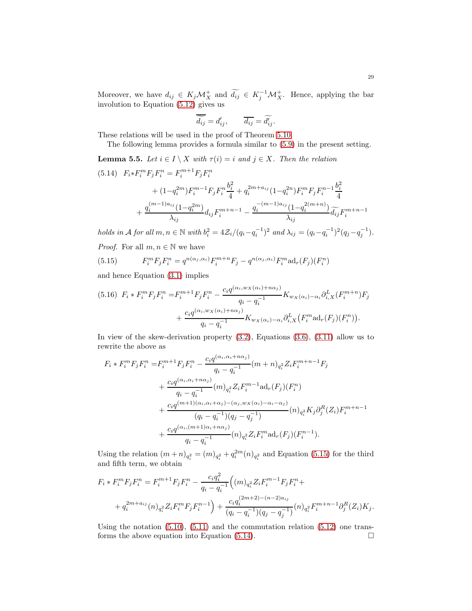Moreover, we have  $d_{ij} \in K_j \mathcal{M}_X^+$  and  $d_{ij} \in K_j^{-1} \mathcal{M}_X^+$ . Hence, applying the bar involution to Equation [\(5.12\)](#page-27-4) gives us

$$
\widetilde{\overline{d_{ij}}} = d'_{ij}, \qquad \overline{d_{ij}} = \widetilde{d'_{ij}}.
$$

These relations will be used in the proof of Theorem [5.10.](#page-32-1)

The following lemma provides a formula similar to [\(5.9\)](#page-26-5) in the present setting.

<span id="page-28-0"></span>**Lemma 5.5.** Let  $i \in I \setminus X$  with  $\tau(i) = i$  and  $j \in X$ . Then the relation

<span id="page-28-2"></span>
$$
(5.14) \quad F_i * F_i^m F_j F_i^n = F_i^{m+1} F_j F_i^n
$$
  
+ 
$$
(1 - q_i^{2m}) F_i^{m-1} F_j F_i^n \frac{b_i^2}{4} + q_i^{2m + a_{ij}} (1 - q_i^{2n}) F_i^m F_j F_i^{n-1} \frac{b_i^2}{4}
$$
  
+ 
$$
\frac{q_i^{(m-1)a_{ij}} (1 - q_i^{2m})}{\lambda_{ij}} d_{ij} F_i^{m+n-1} - \frac{q_i^{-(m-1)a_{ij}} (1 - q_i^{2(m+n)})}{\lambda_{ij}} \widetilde{d_{ij}} F_i^{m+n-1}
$$

holds in A for all  $m, n \in \mathbb{N}$  with  $b_i^2 = 4\mathcal{Z}_i/(q_i - q_i^{-1})^2$  and  $\lambda_{ij} = (q_i - q_i^{-1})^2 (q_j - q_j^{-1})$ . *Proof.* For all  $m, n \in \mathbb{N}$  we have

<span id="page-28-1"></span>(5.15) 
$$
F_i^m F_j F_i^n = q^{n(\alpha_j, \alpha_i)} F_i^{m+n} F_j - q^{n(\alpha_j, \alpha_i)} F_i^m \text{ad}_r(F_j)(F_i^n)
$$

and hence Equation [\(3.1\)](#page-14-3) implies

$$
(5.16) \ \ F_i * F_i^m F_j F_i^n = F_i^{m+1} F_j F_i^n - \frac{c_i q^{(\alpha_i, w_X(\alpha_i) + n\alpha_j)}}{q_i - q_i^{-1}} K_{w_X(\alpha_i) - \alpha_i} \partial_{i,X}^L (F_i^{m+n}) F_j
$$

$$
+ \frac{c_i q^{(\alpha_i, w_X(\alpha_i) + n\alpha_j)}}{q_i - q_i^{-1}} K_{w_X(\alpha_i) - \alpha_i} \partial_{i,X}^L (F_i^m \text{ad}_r(F_j)(F_i^n)).
$$

In view of the skew-derivation property [\(3.2\)](#page-15-4), Equations [\(3.6\)](#page-15-3), [\(3.11\)](#page-17-2) allow us to rewrite the above as

$$
F_i * F_i^m F_j F_i^n = F_i^{m+1} F_j F_i^n - \frac{c_i q^{(\alpha_i, \alpha_i + n\alpha_j)}}{q_i - q_i^{-1}} (m+n)_{q_i^2} Z_i F_i^{m+n-1} F_j
$$
  
+ 
$$
\frac{c_i q^{(\alpha_i, \alpha_i + n\alpha_j)}}{q_i - q_i^{-1}} (m)_{q_i^2} Z_i F_i^{m-1} \text{ad}_r(F_j)(F_i^n)
$$
  
+ 
$$
\frac{c_i q^{(m+1)(\alpha_i, \alpha_i + \alpha_j) - (\alpha_j, w_x(\alpha_i) - \alpha_i - \alpha_j)}}{(q_i - q_i^{-1})(q_j - q_j^{-1})} (n)_{q_i^2} K_j \partial_j^R(Z_i) F_i^{m+n-1}
$$
  
+ 
$$
\frac{c_i q^{(\alpha_i, (m+1)\alpha_i + n\alpha_j)}}{q_i - q_i^{-1}} (n)_{q_i^2} Z_i F_i^m \text{ad}_r(F_j)(F_i^{n-1}).
$$

Using the relation  $(m+n)_{q_i^2} = (m)_{q_i^2} + q_i^{2m}(n)_{q_i^2}$  and Equation [\(5.15\)](#page-28-1) for the third and fifth term, we obtain

$$
F_i * F_i^m F_j F_i^n = F_i^{m+1} F_j F_i^n - \frac{c_i q_i^2}{q_i - q_i^{-1}} \Big( (m)_{q_i^2} Z_i F_i^{m-1} F_j F_i^n +
$$
  
+  $q_i^{2m+a_{ij}}(n)_{q_i^2} Z_i F_i^m F_j F_i^{n-1} \Big) + \frac{c_i q_i^{(2m+2)-(n-2)a_{ij}}}{(q_i - q_i^{-1})(q_j - q_j^{-1})} (n)_{q_i^2} F_i^{m+n-1} \partial_j^R(Z_i) K_j.$ 

Using the notation  $(5.10)$ ,  $(5.11)$  and the commutation relation  $(5.12)$  one trans-forms the above equation into Equation [\(5.14\)](#page-28-2).  $\Box$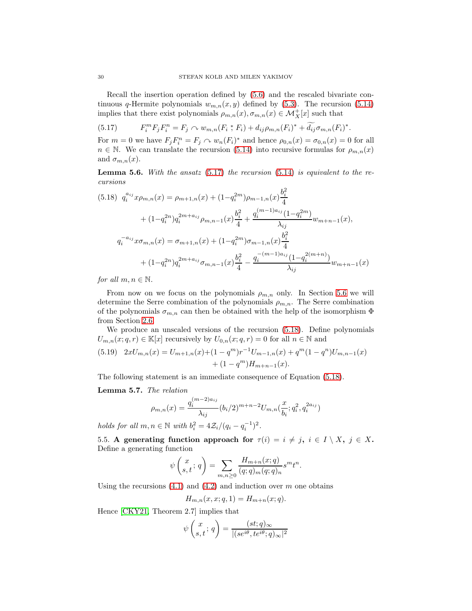Recall the insertion operation defined by [\(5.6\)](#page-25-0) and the rescaled bivariate continuous q-Hermite polynomials  $w_{m,n}(x, y)$  defined by [\(5.3\)](#page-25-3). The recursion [\(5.14\)](#page-28-2) implies that there exist polynomials  $\rho_{m,n}(x), \sigma_{m,n}(x) \in \mathcal{M}_X^+[x]$  such that

<span id="page-29-1"></span>
$$
(5.17) \tF_i^m F_j F_i^n = F_j \tO \t w_{m,n}(F_i * F_i) + d_{ij} \rho_{m,n}(F_i)^* + \widetilde{d_{ij}} \sigma_{m,n}(F_i)^*.
$$

For  $m = 0$  we have  $F_j F_i^n = F_j \sim w_n(F_i)^*$  and hence  $\rho_{0,n}(x) = \sigma_{0,n}(x) = 0$  for all  $n \in \mathbb{N}$ . We can translate the recursion [\(5.14\)](#page-28-2) into recursive formulas for  $\rho_{m,n}(x)$ and  $\sigma_{m,n}(x)$ .

**Lemma 5.6.** With the ansatz  $(5.17)$  the recursion  $(5.14)$  is equivalent to the recursions

<span id="page-29-2"></span>
$$
(5.18) \quad q_i^{a_{ij}} x \rho_{m,n}(x) = \rho_{m+1,n}(x) + (1 - q_i^{2m}) \rho_{m-1,n}(x) \frac{b_i^2}{4}
$$

$$
+ (1 - q_i^{2n}) q_i^{2m + a_{ij}} \rho_{m,n-1}(x) \frac{b_i^2}{4} + \frac{q_i^{(m-1)a_{ij}} (1 - q_i^{2m})}{\lambda_{ij}} w_{m+n-1}(x),
$$

$$
q_i^{-a_{ij}} x \sigma_{m,n}(x) = \sigma_{m+1,n}(x) + (1 - q_i^{2m}) \sigma_{m-1,n}(x) \frac{b_i^2}{4}
$$

$$
+ (1 - q_i^{2n}) q_i^{2m + a_{ij}} \sigma_{m,n-1}(x) \frac{b_i^2}{4} - \frac{q_i^{-(m-1)a_{ij}} (1 - q_i^{2(m+n)})}{\lambda_{ij}} w_{m+n-1}(x)
$$

for all  $m, n \in \mathbb{N}$ .

From now on we focus on the polynomials  $\rho_{m,n}$  only. In Section [5.6](#page-31-0) we will determine the Serre combination of the polynomials  $\rho_{m,n}$ . The Serre combination of the polynomials  $\sigma_{m,n}$  can then be obtained with the help of the isomorphism  $\Phi$ from Section [2.6.](#page-13-0)

We produce an unscaled versions of the recursion [\(5.18\)](#page-29-2). Define polynomials  $U_{m,n}(x;q,r) \in \mathbb{K}[x]$  recursively by  $U_{0,n}(x;q,r) = 0$  for all  $n \in \mathbb{N}$  and

<span id="page-29-3"></span>(5.19) 
$$
2xU_{m,n}(x) = U_{m+1,n}(x) + (1-q^m)r^{-1}U_{m-1,n}(x) + q^m(1-q^n)U_{m,n-1}(x) + (1-q^m)H_{m+n-1}(x).
$$

The following statement is an immediate consequence of Equation [\(5.18\)](#page-29-2).

<span id="page-29-4"></span>Lemma 5.7. The relation

$$
\rho_{m,n}(x) = \frac{q_i^{(m-2)a_{ij}}}{\lambda_{ij}} (b_i/2)^{m+n-2} U_{m,n}(\frac{x}{b_i}; q_i^2, q_i^{2a_{ij}})
$$

<span id="page-29-0"></span>holds for all  $m, n \in \mathbb{N}$  with  $b_i^2 = 4\mathcal{Z}_i/(q_i - q_i^{-1})^2$ .

5.5. A generating function approach for  $\tau(i) = i \neq j$ ,  $i \in I \setminus X$ ,  $j \in X$ . Define a generating function

$$
\psi\left(\begin{matrix}x\\s,t\end{matrix};q\right)=\sum_{m,n\geq 0}\frac{H_{m+n}(x;q)}{(q;q)_m(q;q)_n}s^mt^n.
$$

Using the recursions  $(4.1)$  and  $(4.2)$  and induction over m one obtains

$$
H_{m,n}(x, x; q, 1) = H_{m+n}(x; q).
$$

Hence [\[CKY21,](#page-35-4) Theorem 2.7] implies that

$$
\psi\left(\begin{matrix} x\\ s,t\end{matrix};q\right)=\frac{(st;q)_\infty}{|(se^{i\theta},te^{i\theta};q)_\infty|^2}
$$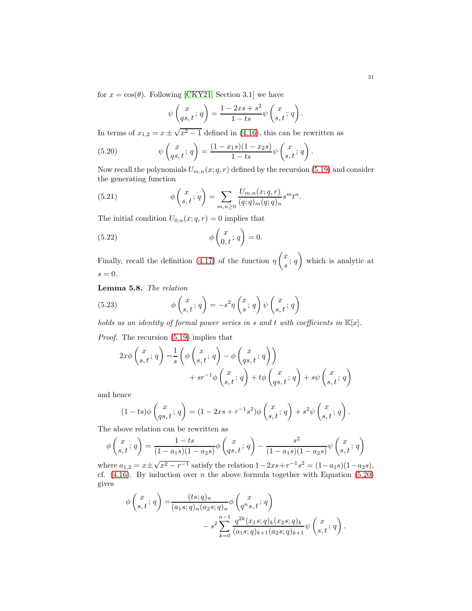for  $x = \cos(\theta)$ . Following [\[CKY21,](#page-35-4) Section 3.1] we have

$$
\psi\begin{pmatrix} x \\ qs, t \end{pmatrix} = \frac{1 - 2xs + s^2}{1 - ts} \psi\begin{pmatrix} x \\ s, t \end{pmatrix}.
$$

In terms of  $x_{1,2} = x \pm \sqrt{x^2 - 1}$  defined in [\(4.16\)](#page-22-3), this can be rewritten as

<span id="page-30-0"></span>(5.20) 
$$
\psi\begin{pmatrix} x \\ qs, t \end{pmatrix} = \frac{(1-x_1s)(1-x_2s)}{1-ts} \psi\begin{pmatrix} x \\ s, t \end{pmatrix}.
$$

Now recall the polynomials  $U_{m,n}(x;q,r)$  defined by the recursion [\(5.19\)](#page-29-3) and consider the generating function

<span id="page-30-4"></span>(5.21) 
$$
\phi\left(\begin{matrix} x \\ s, t \end{matrix}\right) = \sum_{m,n \geq 0} \frac{U_{m,n}(x;q,r)}{(q;q)_m (q;q)_n} s^m t^n.
$$

The initial condition  $U_{0,n}(x; q, r) = 0$  implies that

<span id="page-30-1"></span>(5.22) 
$$
\phi\begin{pmatrix} x \\ 0, t \end{pmatrix} = 0.
$$

Finally, recall the definition  $(4.17)$  of the function  $\eta$  $\sqrt{x}$  $\frac{a}{s}$ ; q  $\setminus$ which is analytic at  $s = 0.$ 

<span id="page-30-3"></span>Lemma 5.8. The relation

<span id="page-30-2"></span>(5.23) 
$$
\phi\begin{pmatrix} x \\ s, t \end{pmatrix} = -s^2 \eta\begin{pmatrix} x \\ s \end{pmatrix} \psi\begin{pmatrix} x \\ s, t \end{pmatrix} q
$$

holds as an identity of formal power series in s and t with coefficients in  $\mathbb{K}[x]$ .

Proof. The recursion [\(5.19\)](#page-29-3) implies that

$$
2x\phi\begin{pmatrix} x \\ s,t \end{pmatrix} = \frac{1}{s} \left( \phi\begin{pmatrix} x \\ s,t \end{pmatrix} - \phi\begin{pmatrix} x \\ qs,t \end{pmatrix} \right)
$$

$$
+sr^{-1}\phi\begin{pmatrix} x \\ s,t \end{pmatrix} + t\phi\begin{pmatrix} x \\ qs,t \end{pmatrix} + s\psi\begin{pmatrix} x \\ s,t \end{pmatrix} + s\psi\begin{pmatrix} x \\ s,t \end{pmatrix}
$$

and hence

$$
(1 - ts)\phi\begin{pmatrix} x \\ qs, t \end{pmatrix} = (1 - 2xs + r^{-1}s^2)\phi\begin{pmatrix} x \\ s, t \end{pmatrix} + s^2\psi\begin{pmatrix} x \\ s, t \end{pmatrix}.
$$

The above relation can be rewritten as

$$
\phi\left(\begin{matrix} x \\ s, t \end{matrix}\right) = \frac{1 - ts}{(1 - a_1 s)(1 - a_2 s)} \phi\left(\begin{matrix} x \\ qs, t \end{matrix}\right) - \frac{s^2}{(1 - a_1 s)(1 - a_2 s)} \psi\left(\begin{matrix} x \\ s, t \end{matrix}\right)
$$

where  $a_{1,2} = x \pm \sqrt{x^2 - r^{-1}}$  satisfy the relation  $1 - 2xs + r^{-1}s^2 = (1 - a_1s)(1 - a_2s)$ , cf.  $(4.16)$ . By induction over *n* the above formula together with Equation [\(5.20\)](#page-30-0) gives

$$
\phi\begin{pmatrix} x \\ s,t \end{pmatrix} = \frac{(ts;q)_n}{(a_1s;q)_n(a_2s;q)_n} \phi\begin{pmatrix} x \\ q^n s,t \end{pmatrix} + s^2 \sum_{k=0}^{n-1} \frac{q^{2k}(x_1s;q)_k(x_2s;q)_k}{(a_1s;q)_{k+1}(a_2s;q)_{k+1}} \psi\begin{pmatrix} x \\ s,t \end{pmatrix}.
$$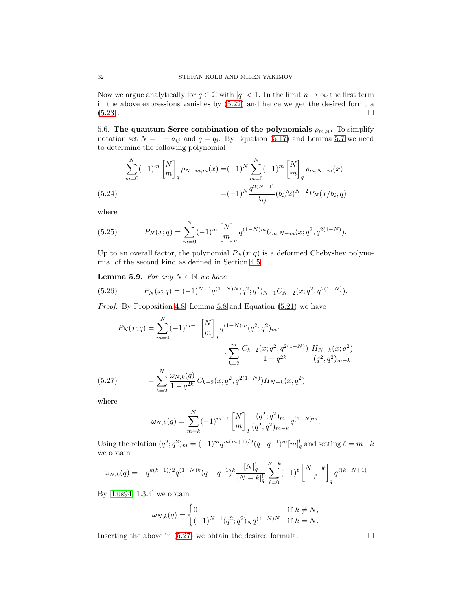Now we argue analytically for  $q \in \mathbb{C}$  with  $|q| < 1$ . In the limit  $n \to \infty$  the first term in the above expressions vanishes by [\(5.22\)](#page-30-1) and hence we get the desired formula [\(5.23\)](#page-30-2).

<span id="page-31-0"></span>5.6. The quantum Serre combination of the polynomials  $\rho_{m,n}$ . To simplify notation set  $N = 1 - a_{ij}$  and  $q = q_i$ . By Equation [\(5.17\)](#page-29-1) and Lemma [5.7](#page-29-4) we need to determine the following polynomial

$$
\sum_{m=0}^{N} (-1)^m \begin{bmatrix} N \\ m \end{bmatrix}_q \rho_{N-m,m}(x) = (-1)^N \sum_{m=0}^{N} (-1)^m \begin{bmatrix} N \\ m \end{bmatrix}_q \rho_{m,N-m}(x)
$$
\n
$$
=(-1)^N \frac{q^{2(N-1)}}{\lambda_{ij}} (b_i/2)^{N-2} P_N(x/b_i; q)
$$

<span id="page-31-3"></span>where

(5.25) 
$$
P_N(x;q) = \sum_{m=0}^N (-1)^m \begin{bmatrix} N \\ m \end{bmatrix}_q q^{(1-N)m} U_{m,N-m}(x;q^2,q^{2(1-N)}).
$$

Up to an overall factor, the polynomial  $P_N(x; q)$  is a deformed Chebyshev polynomial of the second kind as defined in Section [4.5.](#page-22-0)

**Lemma 5.9.** For any  $N \in \mathbb{N}$  we have

<span id="page-31-2"></span>(5.26) 
$$
P_N(x;q) = (-1)^{N-1} q^{(1-N)N} (q^2;q^2)_{N-1} C_{N-2}(x;q^2,q^{2(1-N)}).
$$

Proof. By Proposition [4.8,](#page-23-0) Lemma [5.8](#page-30-3) and Equation [\(5.21\)](#page-30-4) we have

$$
P_N(x;q) = \sum_{m=0}^{N} (-1)^{m-1} \begin{bmatrix} N \\ m \end{bmatrix}_q q^{(1-N)m} (q^2; q^2)_m.
$$

$$
\cdot \sum_{k=2}^{m} \frac{C_{k-2}(x; q^2, q^{2(1-N)})}{1 - q^{2k}} \frac{H_{N-k}(x; q^2)}{(q^2, q^2)_{m-k}}
$$

$$
(5.27)
$$

$$
= \sum_{k=2}^{N} \frac{\omega_{N,k}(q)}{1 - q^{2k}} C_{k-2}(x; q^2, q^{2(1-N)}) H_{N-k}(x; q^2)
$$

<span id="page-31-1"></span>where

$$
\omega_{N,k}(q) = \sum_{m=k}^{N} (-1)^{m-1} \begin{bmatrix} N \\ m \end{bmatrix}_q \frac{(q^2;q^2)_m}{(q^2;q^2)_{m-k}} q^{(1-N)m}.
$$

Using the relation  $(q^2; q^2)_m = (-1)^m q^{m(m+1)/2} (q - q^{-1})^m [m]_q^!$  and setting  $\ell = m - k$ we obtain

$$
\omega_{N,k}(q) = - q^{k(k+1)/2} q^{(1-N)k} (q-q^{-1})^k \frac{[N]_q^!}{[N-k]_q^!} \sum_{\ell=0}^{N-k} (-1)^{\ell} \begin{bmatrix} N-k \\ \ell \end{bmatrix}_q q^{\ell(k-N+1)}
$$

By [\[Lus94,](#page-36-13) 1.3.4] we obtain

$$
\omega_{N,k}(q) = \begin{cases} 0 & \text{if } k \neq N, \\ (-1)^{N-1}(q^2;q^2)_N q^{(1-N)N} & \text{if } k = N. \end{cases}
$$

Inserting the above in  $(5.27)$  we obtain the desired formula.  $\Box$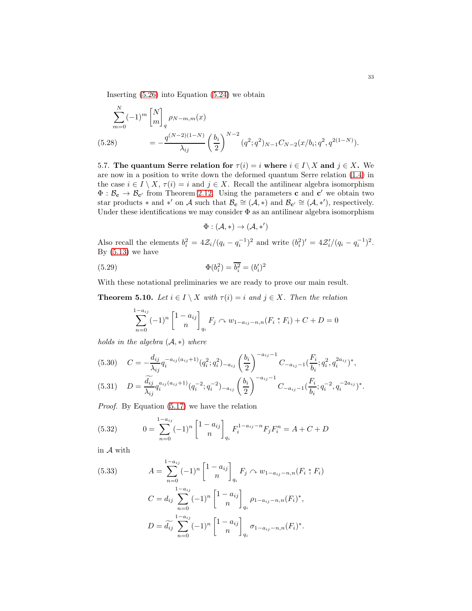Inserting [\(5.26\)](#page-31-2) into Equation [\(5.24\)](#page-31-3) we obtain

$$
\sum_{m=0}^{N} (-1)^{m} \begin{bmatrix} N \\ m \end{bmatrix}_{q} \rho_{N-m,m}(x)
$$
\n(5.28)\n
$$
= -\frac{q^{(N-2)(1-N)}}{\lambda_{ij}} \left(\frac{b_{i}}{2}\right)^{N-2} (q^{2};q^{2})_{N-1} C_{N-2}(x/b_{i};q^{2},q^{2(1-N)}).
$$

<span id="page-32-2"></span><span id="page-32-0"></span>5.7. The quantum Serre relation for  $\tau(i) = i$  where  $i \in I \setminus X$  and  $j \in X$ . We are now in a position to write down the deformed quantum Serre relation [\(1.4\)](#page-2-0) in the case  $i \in I \setminus X$ ,  $\tau(i) = i$  and  $j \in X$ . Recall the antilinear algebra isomorphism  $\Phi : \mathcal{B}_{c} \to \mathcal{B}_{c'}$  from Theorem [2.12.](#page-13-4) Using the parameters c and c' we obtain two star products  $*$  and  $*'$  on A such that  $\mathcal{B}_{\mathbf{c}} \cong (\mathcal{A}, *)$  and  $\mathcal{B}_{\mathbf{c}'} \cong (\mathcal{A}, *)$ , respectively. Under these identifications we may consider  $\Phi$  as an antilinear algebra isomorphism

$$
\Phi: (\mathcal{A}, *) \to (\mathcal{A}, *)'
$$

Also recall the elements  $b_i^2 = 4\mathcal{Z}_i/(q_i - q_i^{-1})^2$  and write  $(b_i^2)' = 4\mathcal{Z}_i'/(q_i - q_i^{-1})^2$ . By  $(5.13)$  we have

<span id="page-32-5"></span>(5.29) 
$$
\Phi(b_i^2) = \overline{b_i^2} = (b_i')^2
$$

With these notational preliminaries we are ready to prove our main result.

<span id="page-32-1"></span>**Theorem 5.10.** Let  $i \in I \setminus X$  with  $\tau(i) = i$  and  $j \in X$ . Then the relation

$$
\sum_{n=0}^{1-a_{ij}} (-1)^n \begin{bmatrix} 1 - a_{ij} \\ n \end{bmatrix}_{q_i} F_j \sim w_{1-a_{ij}-n,n}(F_i * F_i) + C + D = 0
$$

holds in the algebra  $(A, *)$  where

<span id="page-32-3"></span>
$$
(5.30) \quad C = -\frac{d_{ij}}{\lambda_{ij}} q_i^{-a_{ij}(a_{ij}+1)} (q_i^2; q_i^2)_{-a_{ij}} \left(\frac{b_i}{2}\right)^{-a_{ij}-1} C_{-a_{ij}-1} \left(\frac{F_i}{b_i}; q_i^2, q_i^{2a_{ij}}\right)^*,
$$
\n
$$
(5.31) \quad D = \frac{\widetilde{d_{ij}}}{\lambda_{ij}} q_i^{a_{ij}(a_{ij}+1)} (q_i^{-2}; q_i^{-2})_{-a_{ij}} \left(\frac{b_i}{2}\right)^{-a_{ij}-1} C_{-a_{ij}-1} \left(\frac{F_i}{L}; q_i^{-2}, q_i^{-2a_{ij}}\right)^*.
$$

<span id="page-32-6"></span>
$$
(5.31) \tD = \frac{a_{ij}}{\lambda_{ij}} q_i^{a_{ij}(a_{ij}+1)} (q_i^{-2}; q_i^{-2})_{-a_{ij}} \left(\frac{b_i}{2}\right) \tC_{-a_{ij}-1} \left(\frac{r_i}{b_i}; q_i^{-2}, q_i^{-2a_{ij}}\right)^*.
$$

Proof. By Equation [\(5.17\)](#page-29-1) we have the relation

<span id="page-32-4"></span>(5.32) 
$$
0 = \sum_{n=0}^{1-a_{ij}} (-1)^n \begin{bmatrix} 1 - a_{ij} \\ n \end{bmatrix}_{q_i} F_i^{1-a_{ij}-n} F_j F_i^n = A + C + D
$$

in  ${\mathcal A}$  with

<span id="page-32-7"></span>(5.33) 
$$
A = \sum_{n=0}^{1-a_{ij}} (-1)^n \begin{bmatrix} 1 - a_{ij} \\ n \end{bmatrix}_{q_i} F_j \sim w_{1-a_{ij}-n,n}(F_i * F_i)
$$

$$
C = d_{ij} \sum_{n=0}^{1-a_{ij}} (-1)^n \begin{bmatrix} 1 - a_{ij} \\ n \end{bmatrix}_{q_i} \rho_{1-a_{ij}-n,n}(F_i)^*,
$$

$$
D = \widetilde{d_{ij}} \sum_{n=0}^{1-a_{ij}} (-1)^n \begin{bmatrix} 1 - a_{ij} \\ n \end{bmatrix}_{q_i} \sigma_{1-a_{ij}-n,n}(F_i)^*.
$$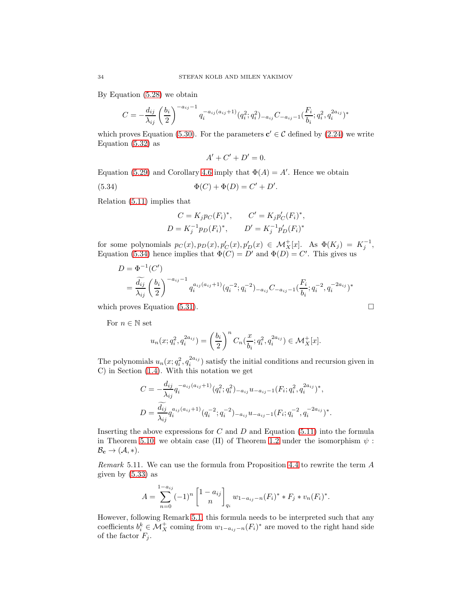By Equation [\(5.28\)](#page-32-2) we obtain

$$
C = -\frac{d_{ij}}{\lambda_{ij}} \left(\frac{b_i}{2}\right)^{-a_{ij}-1} q_i^{-a_{ij}(a_{ij}+1)} (q_i^2; q_i^2)_{-a_{ij}} C_{-a_{ij}-1} \left(\frac{F_i}{b_i}; q_i^2, q_i^{2a_{ij}}\right)^*
$$

which proves Equation [\(5.30\)](#page-32-3). For the parameters  $\mathbf{c}' \in \mathcal{C}$  defined by [\(2.24\)](#page-13-3) we write Equation [\(5.32\)](#page-32-4) as

$$
A' + C' + D' = 0.
$$

Equation [\(5.29\)](#page-32-5) and Corollary [4.6](#page-21-2) imply that  $\Phi(A) = A'$ . Hence we obtain

<span id="page-33-0"></span>(5.34) 
$$
\Phi(C) + \Phi(D) = C' + D'.
$$

Relation [\(5.11\)](#page-27-3) implies that

$$
C = K_j p_C(F_i)^*, \qquad C' = K_j p'_C(F_i)^*,
$$
  

$$
D = K_j^{-1} p_D(F_i)^*, \qquad D' = K_j^{-1} p'_D(F_i)^*
$$

for some polynomials  $p_C(x), p_D(x), p'_C(x), p'_D(x) \in \mathcal{M}_X^+[x]$ . As  $\Phi(K_j) = K_j^{-1}$ , Equation [\(5.34\)](#page-33-0) hence implies that  $\Phi(C) = D'$  and  $\Phi(D) = C'$ . This gives us

$$
D = \Phi^{-1}(C')
$$
  
=  $\frac{\widetilde{d_{ij}}}{\lambda_{ij}} \left(\frac{b_i}{2}\right)^{-a_{ij}-1} q_i^{a_{ij}(a_{ij}+1)}(q_i^{-2}; q_i^{-2})_{-a_{ij}} C_{-a_{ij}-1} \left(\frac{F_i}{b_i}; q_i^{-2}, q_i^{-2a_{ij}}\right)^*$ 

which proves Equation  $(5.31)$ .

For  $n \in \mathbb{N}$  set

$$
u_n(x; q_i^2, q_i^{2a_{ij}}) = \left(\frac{b_i}{2}\right)^n C_n(\frac{x}{b_i}; q_i^2, q_i^{2a_{ij}}) \in \mathcal{M}_X^+[x].
$$

The polynomials  $u_n(x; q_i^2, q_i^{2a_{ij}})$  satisfy the initial conditions and recursion given in C) in Section [\(1.4\)](#page-3-0). With this notation we get

$$
C = -\frac{d_{ij}}{\lambda_{ij}} q_i^{-a_{ij}(a_{ij}+1)} (q_i^2; q_i^2)_{-a_{ij}} u_{-a_{ij}-1}(F_i; q_i^2, q_i^{2a_{ij}})^*,
$$
  

$$
D = \frac{\widetilde{d_{ij}}}{\lambda_{ij}} q_i^{a_{ij}(a_{ij}+1)} (q_i^{-2}; q_i^{-2})_{-a_{ij}} u_{-a_{ij}-1}(F_i; q_i^{-2}, q_i^{-2a_{ij}})^*.
$$

Inserting the above expressions for  $C$  and  $D$  and Equation [\(5.11\)](#page-27-3) into the formula in Theorem [5.10,](#page-32-1) we obtain case (II) of Theorem [1.2](#page-4-2) under the isomorphism  $\psi$ :  $\mathcal{B}_{\mathbf{c}} \to (\mathcal{A}, *)$ .

Remark 5.11. We can use the formula from Proposition [4.4](#page-20-0) to rewrite the term A given by  $(5.33)$  as

$$
A = \sum_{n=0}^{1-a_{ij}} (-1)^n \begin{bmatrix} 1 - a_{ij} \\ n \end{bmatrix}_{q_i} w_{1-a_{ij}-n} (F_i)^* * F_j * v_n (F_i)^*.
$$

However, following Remark [5.1,](#page-25-5) this formula needs to be interpreted such that any coefficients  $b_i^k \in \mathcal{M}_X^+$  coming from  $w_{1-a_{ij}-n}(F_i)^*$  are moved to the right hand side of the factor  $F_j$ .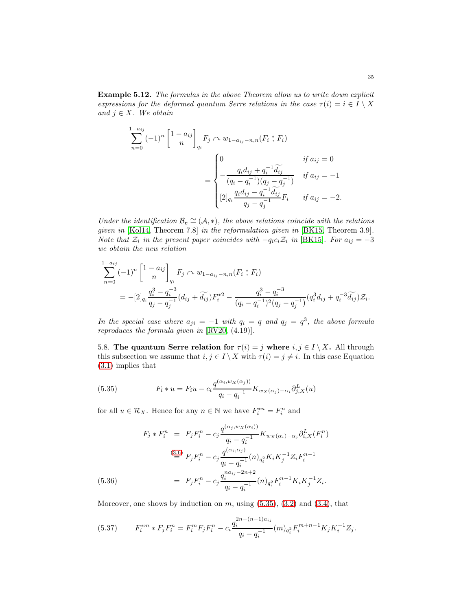Example 5.12. The formulas in the above Theorem allow us to write down explicit expressions for the deformed quantum Serre relations in the case  $\tau(i) = i \in I \setminus X$ and  $j \in X$ . We obtain

$$
\sum_{n=0}^{1-a_{ij}} (-1)^n \begin{bmatrix} 1 - a_{ij} \\ n \end{bmatrix}_{q_i} F_j \sim w_{1-a_{ij}-n,n}(F_i * F_i)
$$
  
= 
$$
\begin{cases} 0 & \text{if } a_{ij} = 0 \\ -\frac{q_i d_{ij} + q_i^{-1} \widetilde{d_{ij}}}{(q_i - q_i^{-1})(q_j - q_j^{-1})} & \text{if } a_{ij} = -1 \\ [2]_{q_i} \frac{q_i d_{ij} - q_i^{-1} \widetilde{d_{ij}}}{q_j - q_j^{-1}} F_i & \text{if } a_{ij} = -2. \end{cases}
$$

Under the identification  $\mathcal{B}_{c} \cong (\mathcal{A}, *)$ , the above relations coincide with the relations given in [\[Kol14,](#page-36-1) Theorem 7.8] in the reformulation given in [\[BK15,](#page-35-2) Theorem 3.9]. Note that  $\mathcal{Z}_i$  in the present paper coincides with  $-q_i c_i \mathcal{Z}_i$  in [\[BK15\]](#page-35-2). For  $a_{ij} = -3$ we obtain the new relation

$$
\sum_{n=0}^{1-a_{ij}} (-1)^n \begin{bmatrix} 1 - a_{ij} \ n \end{bmatrix}_{q_i} F_j \sim w_{1-a_{ij}-n,n}(F_i * F_i)
$$
  
= 
$$
-[2]_{q_i} \frac{q_i^3 - q_i^{-3}}{q_j - q_j^{-1}} (d_{ij} + \widetilde{d_{ij}}) F_i^{*2} - \frac{q_i^3 - q_i^{-3}}{(q_i - q_i^{-1})^2 (q_j - q_j^{-1})} (q_i^3 d_{ij} + q_i^{-3} \widetilde{d_{ij}}) \mathcal{Z}_i.
$$

In the special case where  $a_{ji} = -1$  with  $q_i = q$  and  $q_j = q^3$ , the above formula reproduces the formula given in [\[RV20,](#page-36-2) (4.19)].

<span id="page-34-0"></span>5.8. The quantum Serre relation for  $\tau(i) = j$  where  $i, j \in I \setminus X$ . All through this subsection we assume that  $i, j \in I \setminus X$  with  $\tau(i) = j \neq i$ . In this case Equation [\(3.1\)](#page-14-3) implies that

<span id="page-34-1"></span>(5.35) 
$$
F_i * u = F_i u - c_i \frac{q^{(\alpha_i, w_X(\alpha_j))}}{q_i - q_i^{-1}} K_{w_X(\alpha_j) - \alpha_i} \partial_{j,X}^L(u)
$$

for all  $u \in \mathcal{R}_X$ . Hence for any  $n \in \mathbb{N}$  we have  $F_i^{*n} = F_i^n$  and

(5.36)  
\n
$$
F_j * F_i^n = F_j F_i^n - c_j \frac{q^{(\alpha_j, w_X(\alpha_i))}}{q_i - q_i^{-1}} K_{w_X(\alpha_i) - \alpha_j} \partial_{i,X}^L(F_i^n)
$$
\n
$$
\stackrel{(3.6)}{=} F_j F_i^n - c_j \frac{q^{(\alpha_i, \alpha_j)}}{q_i - q_i^{-1}} (n)_{q_i^2} K_i K_j^{-1} Z_i F_i^{n-1}
$$
\n
$$
= F_j F_i^n - c_j \frac{q_i^{na_{ij} - 2n + 2}}{q_i - q_i^{-1}} (n)_{q_i^2} F_i^{n-1} K_i K_j^{-1} Z_i.
$$

<span id="page-34-2"></span>Moreover, one shows by induction on  $m$ , using  $(5.35)$ ,  $(3.2)$  and  $(3.4)$ , that

<span id="page-34-3"></span>(5.37) 
$$
F_i^{*m} * F_j F_i^n = F_i^m F_j F_i^n - c_i \frac{q_i^{2n - (n-1)a_{ij}}}{q_i - q_i^{-1}} (m)_{q_i^2} F_i^{m+n-1} K_j K_i^{-1} Z_j.
$$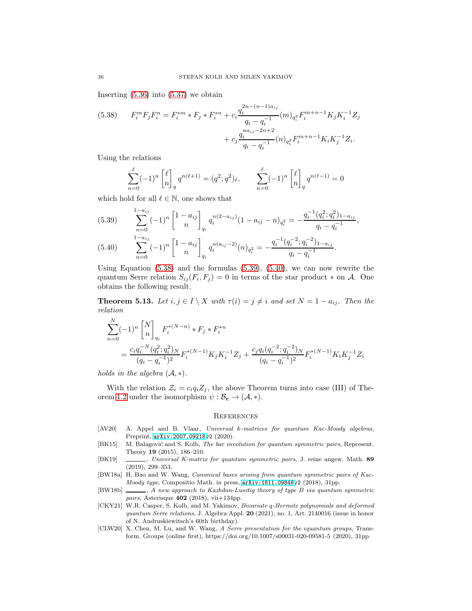Inserting  $(5.36)$  into  $(5.37)$  we obtain

<span id="page-35-7"></span>(5.38) 
$$
F_i^m F_j F_i^n = F_i^{*m} * F_j * F_i^{*n} + c_i \frac{q_i^{2n - (n-1)a_{ij}}}{q_i - q_i^{-1}} (m)_{q_i^2} F_i^{m+n-1} K_j K_i^{-1} Z_j
$$

$$
+ c_j \frac{q_i^{na_{ij} - 2n + 2}}{q_i - q_i^{-1}} (n)_{q_i^2} F_i^{m+n-1} K_i K_j^{-1} Z_i.
$$

Using the relations

$$
\sum_{n=0}^{\ell} (-1)^n \begin{bmatrix} \ell \\ n \end{bmatrix}_q q^{n(\ell+1)} = (q^2; q^2)_{\ell}, \qquad \sum_{n=0}^{\ell} (-1)^n \begin{bmatrix} \ell \\ n \end{bmatrix}_q q^{n(\ell-1)} = 0
$$

which hold for all  $\ell \in \mathbb{N}$ , one shows that

<span id="page-35-8"></span>
$$
(5.39) \qquad \sum_{n=0}^{1-a_{ij}} (-1)^n \begin{bmatrix} 1 - a_{ij} \\ n \end{bmatrix}_{q_i} q_i^{n(2-a_{ij})} (1 - a_{ij} - n)_{q_i^2} = -\frac{q_i^{-1} (q_i^2; q_i^2)_{1-a_{ij}}}{q_i - q_i^{-1}},
$$

$$
(5.40) \qquad \sum_{n=0}^{1-a_{ij}} (-1)^n \begin{bmatrix} 1 - a_{ij} \\ n \end{bmatrix}_{q_i} q_i^{n(a_{ij}-2)} (n)_{q_i^2} = -\frac{q_i^{-1} (q_i^{-2}; q_i^{-2})_{1-a_{ij}}}{q_i - q_i^{-1}}.
$$

<span id="page-35-9"></span>Using Equation  $(5.38)$  and the formulas  $(5.39)$ ,  $(5.40)$ , we can now rewrite the quantum Serre relation  $S_{ij}(F_i, F_j) = 0$  in terms of the star product  $*$  on A. One obtains the following result.

**Theorem 5.13.** Let  $i, j \in I \setminus X$  with  $\tau(i) = j \neq i$  and set  $N = 1 - a_{ij}$ . Then the relation

$$
\sum_{n=0}^{N} (-1)^n \begin{bmatrix} N \\ n \end{bmatrix}_{q_i} F_i^{*(N-n)} * F_j * F_i^{*n}
$$
  
= 
$$
\frac{c_i q_i^{-N} (q_i^2; q_i^2)_N}{(q_i - q_i^{-1})^2} F_i^{*(N-1)} K_j K_i^{-1} Z_j + \frac{c_j q_i (q_i^{-2}; q_i^{-2})_N}{(q_i - q_i^{-1})^2} F_i^{*(N-1)} K_i K_j^{-1} Z_i
$$

holds in the algebra  $(\mathcal{A}, *)$ .

With the relation  $\mathcal{Z}_i = c_i q_i Z_i$ , the above Theorem turns into case (III) of The-orem [1.2](#page-4-2) under the isomorphism  $\psi : \mathcal{B}_{c} \to (\mathcal{A}, *)$ .

### **REFERENCES**

- <span id="page-35-5"></span>[AV20] A. Appel and B. Vlaar, Universal k-matrices for quantum Kac-Moody algebras, Preprint, [arXiv:2007.09218v](http://arxiv.org/abs/2007.09218)2 (2020).
- <span id="page-35-2"></span>[BK15] M. Balagović and S. Kolb, The bar involution for quantum symmetric pairs, Represent. Theory 19 (2015), 186–210.
- <span id="page-35-1"></span>[BK19] , Universal K-matrix for quantum symmetric pairs, J. reine angew. Math. 89 (2019), 299–353.
- <span id="page-35-6"></span>[BW18a] H. Bao and W. Wang, *Canonical bases arising from quantum symmetric pairs of Kac-*Moody type, Compositio Math. in press, [arXiv:1811.09848v](http://arxiv.org/abs/1811.09848)2 (2018), 31pp.
- <span id="page-35-0"></span>[BW18b] , A new approach to Kazhdan-Lusztig theory of type B via quantum symmetric pairs, Asterisque  $402$  (2018), vii+134pp.
- <span id="page-35-4"></span>[CKY21] W.R. Casper, S. Kolb, and M. Yakimov, Bivariate q-Hermite polynomials and deformed quantum Serre relations, J. Algebra Appl. 20 (2021), no. 1, Art. 2140016 (issue in honor of N. Andruskiewitsch's 60th birthday).
- <span id="page-35-3"></span>[CLW20] X. Chen, M. Lu, and W. Wang, A Serre presentation for the ıquantum groups, Transform. Groups (online first), https://doi.org/10.1007/s00031-020-09581-5 (2020), 31pp.